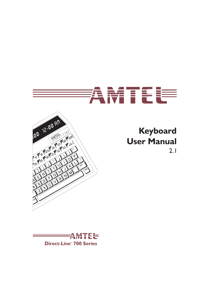



# **Keyboard User Manual** 2.1

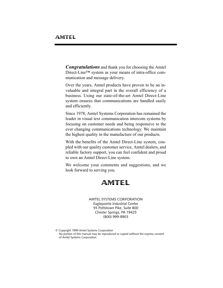*Congratulations* and thank you for choosing the Amtel Direct-Line™ system as your means of intra-office communication and message delivery.

Over the years, Amtel products have proven to be an invaluable and integral part in the overall efficiency of a business. Using our state-of-the-art Amtel Direct-Line system ensures that communications are handled easily and efficiently.

Since 1978, Amtel Systems Corporation has remained the leader in visual text communication intercom systems by focusing on customer needs and being responsive to the ever changing communications technology. We maintain the highest quality in the manufacture of our products.

With the benefits of the Amtel Direct-Line system, coupled with our quality customer service, Amtel dealers, and reliable factory support, you can feel confident and proud to own an Amtel Direct-Line system.

We welcome your comments and suggestions, and we look forward to serving you.

## **AMTEL**

#### AMTEL SYSTEMS CORPORATION Eaglepointe Industrial Center 55 Pottstown Pike, Suite 800 Chester Springs, PA 19425 (800) 999-8903

© Copyright 1999 Amtel Systems Corporation No portion of this manual may be reproduced or copied without the express consent of Amtel Systems Corporation.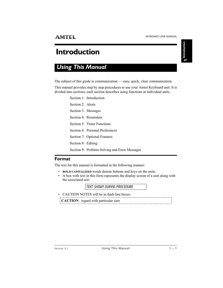**1**

**Introduction**

# **Introduction**

## *Using This Manual*

The subject of this guide is communication — easy, quick, clear communication.

This manual provides step by step procedures to use your Amtel Keyboard unit. It is divided into sections; each section describes using functions at individual units.

- Section 1: Introduction Section 2: Alerts Section 3: Messages Section 4: Reminders Section 5: Timer Functions Section 6: Personal Preferences Section 7: Optional Features Section 8: Editing
- Section 9: Problem Solving and Error Messages

#### **Format**

The text for this manual is formatted in the following manner:

- **BOLD CAPITALIZED** words denote buttons and keys on the units.
- A box with text in this form represents the display screen of a unit along with the associated text

TEXT SHOWN DURING PROCEDURE

• CAUTION NOTES will be in dash-line boxes. **CAUTION**: regard with particular care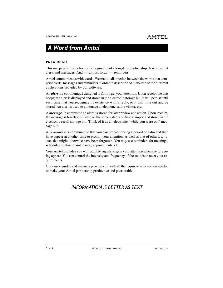## *A Word from Amtel*

#### **Please READ**

This one page introduction is the beginning of a long-term partnership. A word about alerts and messages. And — almost forgot — reminders.

Amtel communicates with words. We make a distinction between the words that comprise alerts, messages and reminders in order to describe and make use of the different applications provided by our software.

An *alert* is a communiqué designed to firmly get your attention. Upon receipt the unit beeps; the alert is displayed and stored in the electronic storage bin. It will persist until such time that you recognize its existence with a reply, or it will time out and be stored. An alert is used to announce a telephone call, a visitor, etc.

A *message*, in contrast to an alert, is stored for later review and action. Upon receipt, the message is briefly displayed on the screen, date and time stamped and stored in the electronic recall storage bin. Think of it as an electronic "while you were out" message slip.

A *reminder* is a communiqué that you can prepare during a period of calm and then have appear at another time to prompt your attention, as well as that of others, to issues that might otherwise have been forgotten. You may use reminders for meetings, scheduled routine maintenance, appointments, etc.

Your Amtel provides you with audible signals to gain your attention when the foregoing appear. You can control the intensity and frequency of the sounds to meet your requirements.

Our quick guides and manuals provide you with all the requisite information needed to make your Amtel partnership productive and pleasurable.

## *INFORMATION IS BETTER AS TEXT*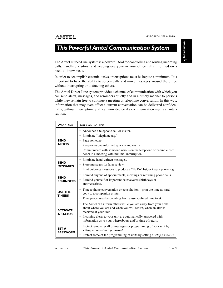## *This Powerful Amtel Communication System*

The Amtel Direct-Line system is a powerful tool for controlling and routing incoming calls, handling visitors, and keeping everyone in your office fully informed on a need-to-know basis.

In order to accomplish essential tasks, interruptions must be kept to a minimum. It is important to have the ability to screen calls and move messages around the office without interrupting or distracting others.

The Amtel Direct-Line system provides a channel of communication with which you can send alerts, messages, and reminders quietly and in a timely manner to persons while they remain free to continue a meeting or telephone conversation. In this way, information that may even affect a current conversation can be delivered confidentially, without interruption. Staff can now decide if a communication merits an interruption.

| When You                           | You Can Do This                                                                                                                                                                                                                                                                                |
|------------------------------------|------------------------------------------------------------------------------------------------------------------------------------------------------------------------------------------------------------------------------------------------------------------------------------------------|
| <b>SEND</b><br><b>ALERTS</b>       | Announce a telephone call or visitor.<br>Eliminate "telephone tag."<br>Page someone.<br>Keep everyone informed quickly and easily.<br>Communicate with someone who is on the telephone or behind closed<br>doors in a meeting with minimal interruption.                                       |
| <b>SEND</b><br><b>MESSAGES</b>     | • Eliminate hand-written messages.<br>Store messages for later review.<br>٠<br>• Print outgoing messages to produce a "To Do" list, or keep a phone log.                                                                                                                                       |
| <b>SEND</b><br><b>REMINDERS</b>    | Remind anyone of appointments, meetings or returning phone calls.<br>Remind yourself of important dates/events (birthdays or<br>anniversaries).                                                                                                                                                |
| <b>USE THE</b><br><b>TIMERS</b>    | Time a phone conversation or consultation $-$ print the time as hard<br>copy to a companion printer.<br>Time procedures by counting from a user-defined time to $\varnothing$ .                                                                                                                |
| <b>ACTIVATE</b><br><b>A STATUS</b> | • The Amtel can inform others while you are away from your desk<br>about where you are and when you will return, when an alert is<br>received at your unit.<br>Incoming a lerts to your unit are automatically answered with<br>٠<br>information as to your whereabouts and/or time of return. |
| <b>SET A</b><br><b>PASSWORD</b>    | Protect remote recall of messages or programming of your unit by<br>setting an <i>individual password</i> .<br>Protect some of the programming of units by setting a setup password.                                                                                                           |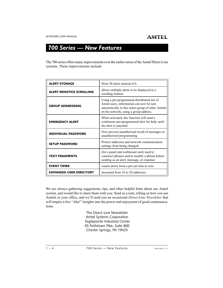## *700 Series — New Features*

The 700 series offers many improvements over the earlier series of the Amtel Direct-Line systems. These improvements include:

| <b>ALERT STORAGE</b>            | Store 50 alerts instead of 6.                                                                                                                                                           |  |
|---------------------------------|-----------------------------------------------------------------------------------------------------------------------------------------------------------------------------------------|--|
| <b>ALERT RENOTICE SCROLLING</b> | allows multiple alerts to be displayed in a<br>scrolling fashion                                                                                                                        |  |
| <b>GROUP ADDRESSING</b>         | Using a pre-programmed distribution list of<br>Amtel users, information can now be sent<br>automatically to this select group of other Amtels<br>on the network, using a group address. |  |
| <b>EMERGENCY ALERT</b>          | When activated, this function will send a<br>continuous pre-programmed alert for help, until<br>the alert is canceled.                                                                  |  |
| <b>INDIVIDUAL PASSWORD</b>      | Now prevent unauthorized recall of messages or<br>unauthorized programming.                                                                                                             |  |
| <b>SETUP PASSWORD</b>           | Protect addresses and network communication<br>settings from being changed.                                                                                                             |  |
| <b>TEXT FRAGMENTS</b>           | (for a panel and wallmount unit) used to<br>construct phrases and/or modify a phrase before<br>sending as an alert, message, or response                                                |  |
| <b>EVENT TIMER</b>              | counts down from a pre-set time to zero                                                                                                                                                 |  |
| <b>EXPANDED USER DIRECTORY</b>  | increased from 10 to 20 addresses                                                                                                                                                       |  |

We are always gathering suggestions, tips, and other helpful hints about our Amtel system, and would like to share them with you. Send us a note, telling us how you use Amtels in your office, and we'll send you an occasional *Direct-Line Newsletter* that will inspire a few "Aha!" insights into the power and enjoyment of good communications.

> The Direct-Line Newsletter Amtel Systems Corporation Eaglepointe Industrial Center 55 Pottstown Pike, Suite 800 Chester Springs, PA 19425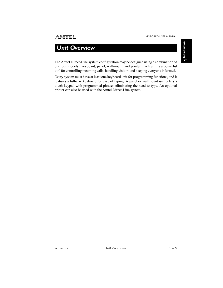## <span id="page-6-0"></span>*Unit Overview*

**1 Introduction**

The Amtel Direct-Line system configuration may be designed using a combination of our four models: keyboard, panel, wallmount, and printer. Each unit is a powerful tool for controlling incoming calls, handling visitors and keeping everyone informed.

Every system must have at least one keyboard unit for programming functions, and it features a full-size keyboard for ease of typing. A panel or wallmount unit offers a touch keypad with programmed phrases eliminating the need to type. An optional printer can also be used with the Amtel Direct-Line system.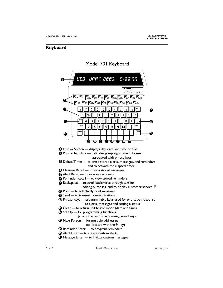#### <span id="page-7-0"></span>**Keyboard**

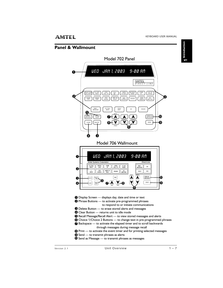**1**

**Introduction**

#### <span id="page-8-0"></span>**Panel & Wallmount** Model 702 Panel wed jan 1, 2ØØ3 9-ØØ aM  $A$ MTEL<br>D I R E C T - L I N E *HAVE THEM I'LL GET GIVE CALL I NEED BE RIGHT COME OUT OF OFFICE CALL BACK BACK CALL TO ME TO TALK THERE IN THANK* **WHICH** *YOU REF. TO INTEREST PAGING SEND NO IN YOU LINE? HANDLE WHAT? THEM IN MEETING WAIT NO YES/OK TAKE I'LL CALL BACK HOLD MESSAGE* 5 *BKSP* 7 10 *RECALL RECALL ALERT SEND AS MESSAGE MESSAGE TIMER CHOICE 1 CHOICE 2*  $\overline{\mathbf{9}}$  $\overline{\blacktriangledown}$ *CLEAR DELETE* 8 *SEND PRINT* 6 Model 706 Wallmount wed jan 1, 2ØØ3 9-ØØ aM  $\begin{array}{c}\n\hline\n\text{COME} \\
\hline\n\text{IN} \\
\hline\n\end{array}\n\right)\n\begin{array}{c}\n\text{SEND} \\
\text{CALL TO}\n\end{array}$ WHICH<br>LINE? TIL BE<br>THERE  $NQ$ **PAGING**  $\left| \begin{array}{c} 1 \ \text{NEETING} \end{array} \right|$ HOLD YES  $\overline{A}$  $\overline{A}$  $TMBER$ SEND AS 10 5  $\mathbf{Q}$ 9 *SEND*7-1AJ IV.<del>ia</del> 6 Display Screen — displays day, date and time or text Phrase Buttons — to activate pre-programmed phrases to respond to or initiate communications Delete Button — to erase stored alerts and messages Clear Button — returns unit to idle mode  $\overline{\textbf{S}}$  Recall Message/Recall Alert — to view stored messages and alerts  $\bigcirc$  Choice 1/Choice 2 Buttons — to change text in pre-programmed phrases  $\bullet$  Backspace — to activate the elapsed timer and to scroll backwards through messages during message recall  $\textcircled{\textsf{P}}$  Print — to activate the event timer and for printing selected messages  $\textcircled{\small\bf}$  Send — to transmit phrases as alerts  $\bm{\mathbb{O}}$  Send as Message — to transmit phrases as messages

Version 2.1 Unit Overview 1 – 7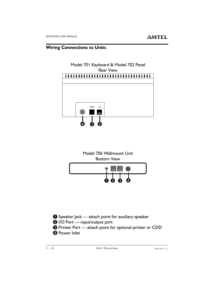## <span id="page-9-0"></span>**Wiring Connections to Units**



1 – 8 Unit Overview Version 2.1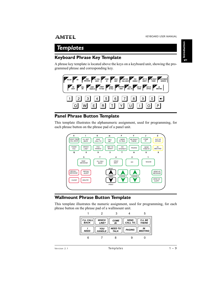**1**

**Introduction**

## <span id="page-10-0"></span>AMTEL

## *Templates*

### **Keyboard Phrase Key Template**

A phrase key template is located above the keys on a keyboard unit, showing the programmed phrase and corresponding key.



#### **Panel Phrase Button Template**

This template illustrates the alphanumeric assignment, used for programming, for each phrase button on the phrase pad of a panel unit.



#### **Wallmount Phrase Button Template**

This template illustrates the numeric assignment, used for programming, for each phrase button on the phrase pad of a wallmount unit.

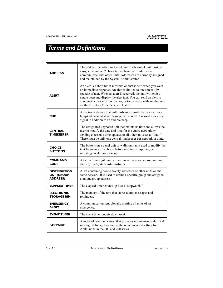# <span id="page-11-0"></span>*Terms and Definitions*

| <b>ADDRESS</b>                                               | The address identifies an Amtel unit. Each Amtel unit must be<br>assigned a unique 2 character, alphanumeric address to<br>communicate with other units. Addresses are normally assigned<br>and maintained by the System Administrator.                                                                                                                                                     |  |  |
|--------------------------------------------------------------|---------------------------------------------------------------------------------------------------------------------------------------------------------------------------------------------------------------------------------------------------------------------------------------------------------------------------------------------------------------------------------------------|--|--|
| <b>AIFRT</b>                                                 | An alert is a short bit of information that is sent when you want<br>an immediate response. An alert is limited to one screen (29<br>spaces) of text. When an alert is received, the unit will emit a<br>single beep and display the alert text. You can send an alert to<br>announce a phone call or visitor, or to converse with another unit<br>- think of it as Amtel's "chat" feature. |  |  |
| <b>CDD</b>                                                   | An optional device that will flash an external device (such as a<br>lamp) when an alert or message is received. It is used as a visual<br>signal in addition to an audible beep.                                                                                                                                                                                                            |  |  |
| <b>CENTRAL</b><br><b>TIMEKEEPER</b>                          | The designated keyboard unit that maintains time and allows the<br>user to modify the date and time for the entire network by<br>sending electronic time updates to all other units set to "auto."<br>There must be only one central timekeeper per network or zone.                                                                                                                        |  |  |
| <b>CHOICE</b><br><b>BUTTONS</b>                              | The buttons on a panel unit or wallmount unit used to modify the<br>text fragments of a phrase before sending a response, or<br>initiating an alert or message.                                                                                                                                                                                                                             |  |  |
| <b>COMMAND</b><br><b>CODE</b>                                | A two or four digit number used to activate some programming<br>steps by the System Administrator.                                                                                                                                                                                                                                                                                          |  |  |
| <b>DISTRIBUTION</b><br><b>LIST (GROUP</b><br><b>ADDRESS)</b> | A list containing two to twenty addresses of other units on the<br>same network. It is used to define a specific group and assigned<br>a unique group address.                                                                                                                                                                                                                              |  |  |
| <b>ELAPSED TIMER</b>                                         | The elapsed timer counts up like a "stopwatch."                                                                                                                                                                                                                                                                                                                                             |  |  |
| <b>ELECTRONIC</b><br><b>STORAGE BIN</b>                      | The memory of the unit that stores alerts, messages and<br>reminders.                                                                                                                                                                                                                                                                                                                       |  |  |
| <b>EMERGENCY</b><br><b>ALERT</b>                             | A communication sent globally alerting all units of an<br>emergency.                                                                                                                                                                                                                                                                                                                        |  |  |
| <b>EVENT TIMER</b>                                           | The event timer counts down to $\varnothing$ .                                                                                                                                                                                                                                                                                                                                              |  |  |
| <b>FASTWIRE</b>                                              | A mode of communication that provides instantaneous alert and<br>message delivery. Fastwire is the recommended setting for<br>Amtel units in the 600 and 700 series.                                                                                                                                                                                                                        |  |  |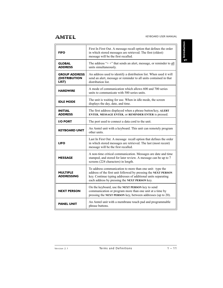<span id="page-12-0"></span>

| <b>FIFO</b>                                    | First In First Out. A message recall option that defines the order<br>in which stored messages are retrieved. The first (oldest)<br>message will be the first recalled.                                                                      |
|------------------------------------------------|----------------------------------------------------------------------------------------------------------------------------------------------------------------------------------------------------------------------------------------------|
| GLOBAL<br><b>ADDRESS</b>                       | The address " $+$ +" that sends an alert, message, or reminder to all<br>units simultaneously.                                                                                                                                               |
| <b>GROUP ADDRESS</b><br>(DISTRIBUTION<br>LIST) | An address used to identify a distribution list. When used it will<br>send an alert, message or reminder to all units contained in that<br>distribution list.                                                                                |
| <b>HARDWIRE</b>                                | A mode of communication which allows 600 and 700 series<br>units to communicate with 500 series units.                                                                                                                                       |
| <b>IDLE MODE</b>                               | The unit is waiting for use. When in idle mode, the screen<br>displays the day, date, and time.                                                                                                                                              |
| <b>INITIAL</b><br><b>ADDRESS</b>               | The first address displayed when a phrase button/key, ALERT<br>ENTER, MESSAGE ENTER, or REMINDER ENTER is pressed.                                                                                                                           |
| <b>I/O PORT</b>                                | The port used to connect a data cord to the unit.                                                                                                                                                                                            |
| <b>KEYBOARD UNIT</b>                           | An Amtel unit with a keyboard. This unit can remotely program<br>other units.                                                                                                                                                                |
| LIFO                                           | Last In First Out. A message recall option that defines the order<br>in which stored messages are retrieved. The last (most recent)<br>message will be the first recalled.                                                                   |
| <b>MESSAGE</b>                                 | A non-time critical communication. Messages are date and time<br>stamped, and stored for later review. A message can be up to 7<br>screens (224 characters) in length.                                                                       |
| <b>MULTIPLE</b><br><b>ADDRESSING</b>           | To address communication to more than one unit: type the<br>address of the first unit followed by pressing the NEXT PERSON<br>key. Continue typing addresses of additional units separating<br>each address by pressing the NEXT PERSON key. |
| <b>NEXT PERSON</b>                             | On the keyboard, use the NEXT PERSON key to send<br>communication or program more than one unit at a time by<br>pressing the NEXT PERSON key, between addresses (up to 20).                                                                  |
| <b>PANEL UNIT</b>                              | An Amtel unit with a membrane touch pad and programmable<br>phrase buttons.                                                                                                                                                                  |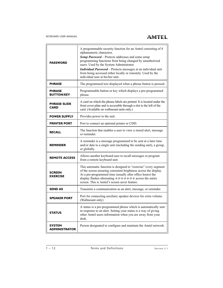<span id="page-13-0"></span>

| <b>PASSWORD</b>                       | A programmable security function for an Amtel consisting of 4<br>alphanumeric characters.<br><b>Setup Password</b> – Protects addresses and some setup<br>programming functions from being changed by unauthorized<br>users. Used by the System Administrator.<br>Individual Password - Protects messages at an individual unit<br>from being accessed either locally or remotely. Used by the<br>individual user at his/her unit. |  |
|---------------------------------------|------------------------------------------------------------------------------------------------------------------------------------------------------------------------------------------------------------------------------------------------------------------------------------------------------------------------------------------------------------------------------------------------------------------------------------|--|
| <b>PHRASE</b>                         | The programmed text displayed when a phrase button is pressed.                                                                                                                                                                                                                                                                                                                                                                     |  |
| <b>PHRASE</b><br><b>BUTTON/KEY</b>    | Programmable button or key which displays a pre-programmed<br>phrase.                                                                                                                                                                                                                                                                                                                                                              |  |
| <b>PHRASE SLIDE</b><br><b>CARD</b>    | A card on which the phrase labels are printed. It is located under the<br>front cover plate and is accessible through a slot to the left of the<br>card. (Available on wallmount units only.)                                                                                                                                                                                                                                      |  |
| <b>POWER SUPPLY</b>                   | Provides power to the unit.                                                                                                                                                                                                                                                                                                                                                                                                        |  |
| <b>PRINTER PORT</b>                   | Port to connect an optional printer or CDD.                                                                                                                                                                                                                                                                                                                                                                                        |  |
| <b>RECALL</b>                         | The function that enables a user to view a stored alert, message<br>or reminder.                                                                                                                                                                                                                                                                                                                                                   |  |
| <b>REMINDER</b>                       | A reminder is a message programmed to be sent at a later time<br>and/or date to a single unit (including the sending unit), a group,<br>or globally.                                                                                                                                                                                                                                                                               |  |
| <b>REMOTE ACCESS</b>                  | Allows another keyboard user to recall messages or program<br>from a remote keyboard unit.                                                                                                                                                                                                                                                                                                                                         |  |
| <b>SCREEN</b><br><b>EXERCISE</b>      | This automatic function is designed to "exercise" every segment<br>of the screen ensuring consistent brightness across the display.<br>At a pre-programmed time (usually after office hours) the<br>display flashes alternating $\angle \emptyset \times \emptyset \times \emptyset \times \emptyset$ across the entire<br>screen. This is Amtel's screen saver feature.                                                           |  |
| <b>SEND AS</b>                        | Transmits a communication as an alert, message, or reminder.                                                                                                                                                                                                                                                                                                                                                                       |  |
| <b>SPEAKER PORT</b>                   | Port for connecting auxiliary speaker devices for extra volume.<br>(Wallmount only)                                                                                                                                                                                                                                                                                                                                                |  |
| <b>STATUS</b>                         | A status is a pre-programmed phrase which is automatically sent<br>in response to an alert. Setting your status is a way of giving<br>other Amtel users information when you are away from your<br>desk.                                                                                                                                                                                                                           |  |
| <b>SYSTEM</b><br><b>ADMINISTRATOR</b> | Person designated to configure and maintain the Amtel network.                                                                                                                                                                                                                                                                                                                                                                     |  |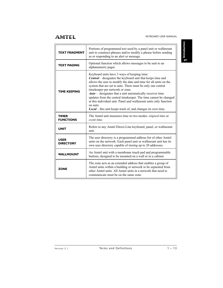<span id="page-14-0"></span>

| <b>TEXT FRAGMENT</b>                                                                                                                                                                                                                                                                                                                                                                                                                                                                                                                                                                           | Portions of programmed text used by a panel unit or wallmount<br>unit to construct phrases and/or modify a phrase before sending<br>as or responding to an alert or message.                                                           |
|------------------------------------------------------------------------------------------------------------------------------------------------------------------------------------------------------------------------------------------------------------------------------------------------------------------------------------------------------------------------------------------------------------------------------------------------------------------------------------------------------------------------------------------------------------------------------------------------|----------------------------------------------------------------------------------------------------------------------------------------------------------------------------------------------------------------------------------------|
| <b>TEXT PAGING</b>                                                                                                                                                                                                                                                                                                                                                                                                                                                                                                                                                                             | Optional function which allows messages to be sent to an<br>alphanumeric pager.                                                                                                                                                        |
| Keyboard units have 3 ways of keeping time:<br>Central - designates the keyboard unit that keeps time and<br>allows the user to modify the date and time for all units on the<br>system that are set to auto. There must be only one central<br>timekeeper per network or zone.<br><b>TIME KEEPING</b><br>$Auto -$ designates that a unit automatically receives time<br>updates from the central timekeeper. The time cannot be changed<br>at this individual unit. Panel and wallmount units only function<br>on auto.<br><b>Local</b> – this unit keeps track of, and changes its own time. |                                                                                                                                                                                                                                        |
| <b>TIMER</b><br><b>FUNCTIONS</b>                                                                                                                                                                                                                                                                                                                                                                                                                                                                                                                                                               | The Amtel unit measures time in two modes: <i>elapsed time</i> or<br>event time.                                                                                                                                                       |
| <b>UNIT</b>                                                                                                                                                                                                                                                                                                                                                                                                                                                                                                                                                                                    | Refers to any Amtel Direct-Line keyboard, panel, or wallmount<br>unit.                                                                                                                                                                 |
| <b>USER</b><br><b>DIRECTORY</b>                                                                                                                                                                                                                                                                                                                                                                                                                                                                                                                                                                | The user directory is a programmed address list of other Amtel<br>units on the network. Each panel unit or wallmount unit has its<br>own user directory capable of storing up to 20 addresses.                                         |
| <b>WALLMOUNT</b>                                                                                                                                                                                                                                                                                                                                                                                                                                                                                                                                                                               | An Amtel unit with a membrane touch pad and programmable<br>buttons, designed to be mounted on a wall or in a cabinet.                                                                                                                 |
| <b>ZONE</b>                                                                                                                                                                                                                                                                                                                                                                                                                                                                                                                                                                                    | The zone acts as an extended address that enables a group of<br>Amtel units within a building or network to be separated from<br>other Amtel units. All Amtel units in a network that need to<br>communicate must be on the same zone. |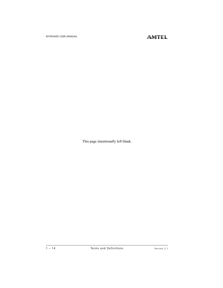This page intentionally left blank.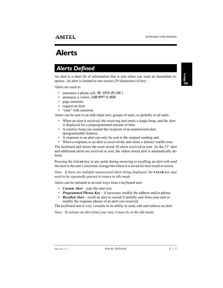**2 Alerts**

# <span id="page-16-0"></span>**Alerts**

## *Alerts Defined*

An alert is a short bit of information that is sent when you want an immediate response. An alert is limited to one screen (29 characters) of text.

Alerts are used to:

- announce a phone call, *flR. SflITH ON LINE 1*.
- announce a visitor, 3:00 RPPT IS HERE.
- page someone.
- request an item.
- "chat" with someone.

Alerts can be sent to an individual unit, groups of units, or globally to all units.

- When an alert is received, the receiving unit emits a single beep, and the alert is displayed for a preprogrammed amount of time.
- A renotice beep can remind the recipient of an unanswered alert (programmable feature).
- A response to an alert can only be sent to the original sending unit.
- When a response to an alert is received the unit emits a distinct warble tone.

The keyboard unit stores the most recent 50 alerts received or sent. As the  $51^{\circ}$  alert and additional alerts are received or sent, the oldest stored alert is automatically deleted.

Pressing the **CLEAR** key at any point during receiving or recalling an alert will send the alert to the unit's electronic storage bin where it is saved for later recall or action.

*Note: If there are multiple unanswered alerts being displayed, the* **CLEAR** *key may need to be repeatedly pressed to return to idle mode.*

Alerts can be initiated in several ways from a keyboard unit:

- *Custom Alert* type the alert text.
- *Programmed Phrase Key* if necessary modify the address and/or phrase.
- *Recalled Alert* recall an alert to resend if initially sent from your unit or modify the response phrase of an alert you received.

The keyboard unit is very versatile in its ability to send, edit and redirect an alert.

*Note: To initiate an alert from your unit, it must be in the idle mode.*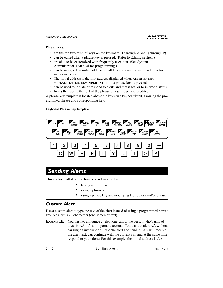#### <span id="page-17-0"></span>**AMTEL**

Phrase keys:

- are the top two rows of keys on the keyboard (**1** through **Ø** and **Q** through **P**).
- can be edited after a phrase key is pressed. (Refer to Editing section.)
- are able to be customized with frequently used text. (See System Administrator's Manual for programming.)
- can be assigned an initial address for all keys or a unique initial address for individual keys.
- The initial address is the first address displayed when **ALERT ENTER**, **MESSAGE ENTER**, **REMINDER ENTER**, or a phrase key is pressed.
- can be used to initiate or respond to alerts and messages, or to initiate a status.
- limits the user to the text of the phrase unless the phrase is edited.

A phrase key template is located above the keys on a keyboard unit, showing the programmed phrase and corresponding key.

#### **Keyboard Phrase Key Template**



## *Sending Alerts*

This section will describe how to send an alert by:

- typing a custom alert.
- using a phrase key.
- using a phrase key and modifying the address and/or phrase.

#### **Custom Alert**

Use a custom alert to type the text of the alert instead of using a programmed phrase key. An alert is 29 characters (one screen of text).

EXAMPLE: You wish to announce a telephone call to the person who's unit address is AA. It's an important account. You want to alert AA without causing an interruption. Type the alert and send it. (AA will receive the alert text, can continue with the current call and at the same time respond to your alert.) For this example, the initial address is AA.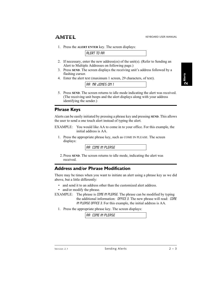<span id="page-18-0"></span>1. Press the **ALERT ENTER** key. The screen displays:

**ALERT TO AA**

- 2. If necessary, enter the new address(es) of the unit(s). (Refer to Sending an Alert to Multiple Addresses on following page.)
- 3. Press **SEND**. The screen displays the receiving unit's address followed by a flashing cursor.
- 4. Enter the alert text (maximum 1 screen, 29 characters, of text).



- **2 Alerts**
- 5. Press **SEND**. The screen returns to idle mode indicating the alert was received. (The receiving unit beeps and the alert displays along with your address identifying the sender.)

#### **Phrase Keys**

Alerts can be easily initiated by pressing a phrase key and pressing **SEND**. This allows the user to send a one touch alert instead of typing the alert.

- EXAMPLE: You would like AA to come in to your office. For this example, the initial address is AA.
	- 1. Press the appropriate phrase key, such as COME IN PLEASE. The screen displays:

**AA COME IN PLEASE**

2. Press **SEND**. The screen returns to idle mode, indicating the alert was received.

### **Address and/or Phrase Modification**

There may be times when you want to initiate an alert using a phrase key as we did above, but a little differently:

- and send it to an address other than the customized alert address.
- and/or modify the phrase.
- EXAMPLE: The phrase is COME IN PLEASE. The phrase can be modified by typing the additional information: *OFFICE 3*. The new phrase will read: *COME* IN PLEASE OFFICE 3. For this example, the initial address is AA.
	- 1. Press the appropriate phrase key. The screen displays:

| <b>AR COME IN PLERSE</b> |
|--------------------------|
|--------------------------|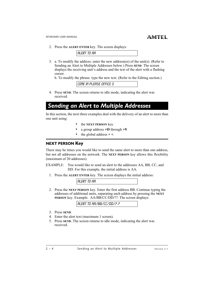<span id="page-19-0"></span>2. Press the **ALERT ENTER** key. The screen displays:

**ALERT TO** *AA*

3. a. To modify the address: enter the new address(es) of the unit(s). (Refer to Sending an Alert to Multiple Addresses below.) Press **SEND**. The screen displays the receiving unit's address and the text of the alert with a flashing cursor.

b. To modify the phrase: type the new text. (Refer to the Editing section.)

**COME IN PLEASE OFFICE 3**

4. Press **SEND**. The screen returns to idle mode, indicating the alert was received.

## *Sending an Alert to Multiple Addresses*

In this section, the next three examples deal with the delivery of an alert to more than one unit using:

- the **NEXT PERSON** key.
- a group address **+Ø** through **+9**.
- the global address  $+ +$ .

#### **NEXT PERSON Key**

There may be times you would like to send the same alert to more than one address, but not all addresses on the network. The **NEXT PERSON** key allows this flexibility (maximum of 20 addresses).

EXAMPLE: You would like to send an alert to the addresses AA, BB, CC, and DD. For this example, the initial address is AA.

1. Press the **ALERT ENTER** key. The screen displays the initial address:

| 717<br>$\cdot$ $-$<br>$\sim$ $\sim$ |  |  |
|-------------------------------------|--|--|
|                                     |  |  |

2. Press the **NEXT PERSON** key. Enter the first address BB. Continue typing the addresses of additional units, separating each address by pressing the **NEXT PERSON** key. Example: AA/BB/CC/DD/??. The screen displays:

| RLERT TO RR/BB/CC/DD/? ? |  |  |  |  |  |  |  |  |
|--------------------------|--|--|--|--|--|--|--|--|
|--------------------------|--|--|--|--|--|--|--|--|

- 3. Press **SEND**.
- 4. Enter the alert text (maximum 1 screen).
- 5. Press **SEND**. The screen returns to idle mode, indicating the alert was received.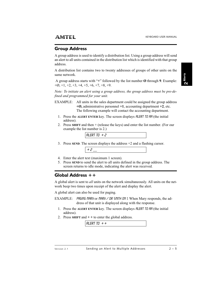#### <span id="page-20-0"></span>**Group Address**

A group address is used to identify a distribution list. Using a group address will send an alert to all units contained in the distribution list which is identified with that group address.

A distribution list contains two to twenty addresses of groups of other units on the same network.

A group address starts with "**+**" followed by the list number **Ø** through **9**. Example:  $+Q$ ,  $+1$ ,  $+2$ ,  $+3$ ,  $+4$ ,  $+5$ ,  $+6$ ,  $+7$ ,  $+8$ ,  $+9$ .

*Note: To initiate an alert using a group address, the group address must be pre-defined and programmed for your unit.*

EXAMPLE: All units in the sales department could be assigned the group address **+Ø,** administrative personnel **+1**, accounting department **+2**, etc. The following example will contact the accounting department.

- 1. Press the **ALERT ENTER** key. The screen displays ALERT TO AA (the initial address).
- 2. Press **SHIFT** and then + (release the keys) and enter the list number. (For our example the list number is 2.)

| $\cdot$ $-$<br>---- |
|---------------------|
|---------------------|

3. Press **SEND**. The screen displays the address +2 and a flashing cursor.



- 4. Enter the alert text (maximum 1 screen).
- 5. Press **SEND** to send the alert to all units defined in the group address. The screen returns to idle mode, indicating the alert was received.

#### **Global Address ++**

A global alert is sent to *all* units on the network simultaneously. All units on the network beep two times upon receipt of the alert and display the alert.

A global alert can also be used for paging.

- EXAMPLE: PR5IN5 MRRY or MRRY / DR 5MITH ON 1. When Mary responds, the address of that unit is displayed along with the response.
	- 1. Press the **ALERT ENTER** key. The screen displays ALERT TO AA (the initial address).
	- 2. Press **SHIFT** and **+ +** to enter the global address.

| the control of the control of |  |
|-------------------------------|--|
|                               |  |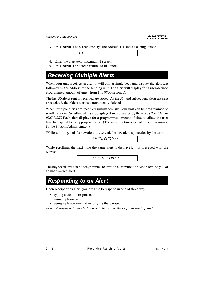### <span id="page-21-0"></span>**AMTEL**

3. Press **SEND**. The screen displays the address **+ +** and a flashing cursor.

|--|--|--|

- 4. Enter the alert text (maximum 1 screen).
- 5. Press **SEND**. The screen returns to idle mode.

## *Receiving Multiple Alerts*

When your unit receives an alert, it will emit a single beep and display the alert text followed by the address of the sending unit. The alert will display for a user-defined programmed amount of time (from 1 to 9800 seconds).

The last 50 alerts sent or received are stored. As the  $51<sup>st</sup>$  and subsequent alerts are sent or received, the oldest alert is automatically deleted.

When multiple alerts are received simultaneously, your unit can be programmed to scroll the alerts. Scrolling alerts are displayed and separated by the words NEW RLERT or NEXT ALERT. Each alert displays for a programmed amount of time to allow the user time to respond to the appropriate alert. (The scrolling time of an alert is programmed by the System Administrator.)

While scrolling, and if a new alert is received, the new alert is preceded by the term:

While scrolling, the next time the same alert is displayed, it is preceded with the words:

|  | ***NEXT RLERT*** |
|--|------------------|
|  |                  |

The keyboard unit can be programmed to emit an alert renotice beep to remind you of an unanswered alert.

## *Responding to an Alert*

Upon receipt of an alert, you are able to respond in one of three ways:

- typing a custom response.
- using a phrase key.
- using a phrase key and modifying the phrase.

*Note: A response to an alert can only be sent to the original sending unit.*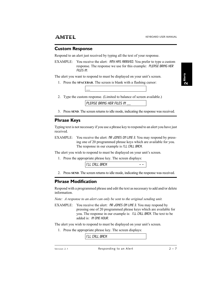#### <span id="page-22-0"></span>**Custom Response**

Respond to an alert just received by typing all the text of your response.

EXAMPLE: You receive the alert:  $\hat{H}$   $\hat{H}$   $\hat{H}$   $\hat{H}$   $\hat{H}$   $\hat{H}$   $\hat{H}$   $\hat{H}$   $\hat{H}$   $\hat{H}$   $\hat{H}$   $\hat{H}$   $\hat{H}$   $\hat{H}$   $\hat{H}$   $\hat{H}$   $\hat{H}$   $\hat{H}$   $\hat{H}$   $\hat{H}$   $\hat{H}$   $\hat{H}$   $\hat{H}$   $\hat{H}$ response. The response we use for this example: PLEASE BRING HER FILES IN.

The alert you want to respond to must be displayed on your unit's screen.

1. Press the **SPACEBAR**. The screen is blank with a flashing cursor:

**\_\_**

2. Type the custom response. (Limited to balance of screen available.)



3. Press **SEND**. The screen returns to idle mode, indicating the response was received.

#### **Phrase Keys**

Typing text is not necessary if you use a phrase key to respond to an alert you have just received.

EXAMPLE: You receive the alert: flR JONES ON LINE 3. You may respond by pressing one of 20 programmed phrase keys which are available for you. The response in our example is I'LL CALL BACK.

The alert you wish to respond to must be displayed on your unit's screen.

1. Press the appropriate phrase key. The screen displays:

| nrv<br>п<br>the contract of the contract of the contract of the contract of |  |
|-----------------------------------------------------------------------------|--|
|                                                                             |  |

2. Press **SEND**. The screen returns to idle mode, indicating the response was received.

#### **Phrase Modification**

Respond with a programmed phrase and edit the text as necessary to add and/or delete information.

*Note: A response to an alert can only be sent to the original sending unit.*

EXAMPLE: You receive the alert: *nR JONES ON LINE 3*. You may respond by pressing one of 20 programmed phrase keys which are available for you. The response in our example is: I'LL CALL BACK. The text to be added is: IN ONE HOUR.

The alert you wish to respond to must be displayed on your unit's screen.

1. Press the appropriate phrase key. The screen displays:

**I'LL CALL BACK**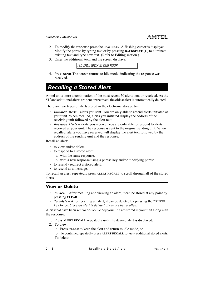- <span id="page-23-0"></span>2. To modify the response press the **SPACEBAR**. A flashing cursor is displayed. Modify the phrase by typing text or by pressing **BACKSPACE**  $(\leftarrow)$  to eliminate existing text and type new text. (Refer to Editing section.)
- 3. Enter the additional text, and the screen displays:

| <b>I'LL CALL BACK IN ONE HOUR</b> |
|-----------------------------------|
|-----------------------------------|

4. Press **SEND**. The screen returns to idle mode, indicating the response was received.

## *Recalling a Stored Alert*

Amtel units store a combination of the most recent 50 alerts sent or received. As the  $51<sup>st</sup>$  and additional alerts are sent or received, the oldest alert is automatically deleted.

There are two types of alerts stored in the electronic storage bin:

- *Initiated Alerts* alerts you sent. You are only able to resend alerts initiated at your unit. When recalled, alerts you initiated display the address of the receiving unit followed by the alert text.
- *Received Alerts* alerts you receive. You are only able to respond to alerts received at your unit. The response is sent to the original sending unit. When recalled, alerts you have received will display the alert text followed by the address of the sending unit and the response.

Recall an alert:

- to view and/or delete.
- to respond to a stored alert:
	- a. with the same response.
	- b. with a new response using a phrase key and/or modifying phrase.
- to resend / redirect a stored alert.
- to resend as a message.

To recall an alert, repeatedly press **ALERT RECALL** to scroll through all of the stored alerts.

#### **View or Delete**

- *To view* After recalling and viewing an alert, it can be stored at any point by pressing **CLEAR**.
- *To delete* After recalling an alert, it can be deleted by pressing the **DELETE** key twice. *Once an alert is deleted, it cannot be recalled.*

Alerts that have been *sent to* or*received by* your unit are stored in your unit along with the response.

- 1. Press **ALERT RECALL** repeatedly until the desired alert is displayed.
- 2. To view:

a. Press **CLEAR** to keep the alert and return to idle mode, or

b. To continue, repeatedly press **ALERT RECALL** to view additional stored alerts. To delete: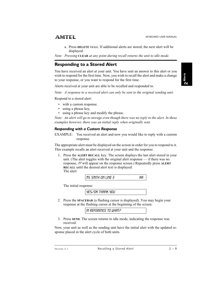### <span id="page-24-0"></span>**AMTEL**

a. Press **DELETE** twice. If additional alerts are stored, the next alert will be displayed.

*Note: Pressing* **CLEAR** *at any point during recall returns the unit to idle mode.*

### **Responding to a Stored Alert**

You have received an alert at your unit. You have sent an answer to this alert or you wish to respond for the first time. Now, you wish to recall the alert and make a change to your response, or you want to respond for the first time.

Alerts received at your unit are able to be recalled and responded to.

*Note: A response to a received alert can only be sent to the original sending unit.*

Respond to a stored alert:

- with a custom response.
- using a phrase key.
- using a phrase key and modify the phrase.

*Note: An alert will go to storage even though there was no reply to the alert. In these examples however, there was an initial reply when originally sent.*

#### *Responding with a Custom Response*

EXAMPLE: You received an alert and now you would like to reply with a custom response.

The appropriate alert must be displayed on the screen in order for you to respond to it. This example recalls an alert received at your unit and the response.

1. Press the **ALERT RECALL** key. The screen displays the last alert stored in your unit. (The alert toggles with the original alert response — if there was no response, ?? will appear on the response screen.) Repeatedly press **ALERT RECALL** until the desired alert text is displayed: The alert:



The initial response:

YES/OK THANK YOU

2. Press the **SPACEBAR** (a flashing cursor is displayed). You may begin your response at the flashing cursor at the beginning of the screen.

IN REFERENCE TO WHAT?

3. Press **SEND**. The screen returns to idle mode, indicating the response was received.

Now, your unit as well as the sending unit have the initial alert with the updated response placed in the alert cycle of both units.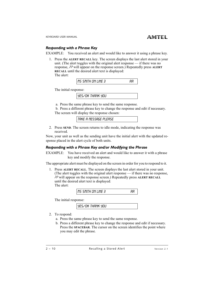#### *Responding with a Phrase Key*

EXAMPLE: You received an alert and would like to answer it using a phrase key.

1. Press the **ALERT RECALL** key. The screen displays the last alert stored in your unit. (The alert toggles with the original alert response — if there was no response, ?? will appear on the response screen.) Repeatedly press **ALERT RECALL** until the desired alert text is displayed: The alert:

| $ $ MS SMITH ON LINE 3 |  |
|------------------------|--|

The initial response:

| YES/OK THANK YOU |  |
|------------------|--|

a. Press the same phrase key to send the same response.

b. Press a different phrase key to change the response and edit if necessary. The screen will display the response chosen:

| mrr<br>n<br>or r<br>זכהמוד מטחבבמוווה זהו |  |
|-------------------------------------------|--|
|-------------------------------------------|--|

2. Press **SEND**. The screen returns to idle mode, indicating the response was received.

Now, your unit as well as the sending unit have the initial alert with the updated response placed in the alert cycle of both units.

#### *Responding with a Phrase Key and/or Modifying the Phrase*

EXAMPLE: You have received an alert and would like to answer it with a phrase key and modify the response.

The appropriate alert must be displayed on the screen in order for you to respond to it.

1. Press **ALERT RECALL**. The screen displays the last alert stored in your unit. (The alert toggles with the original alert response — if there was no response, ?? will appear on the response screen.) Repeatedly press **ALERT RECALL** until the desired alert text is displayed: The alert:

| $ $ AS SAITH ON LINE 3 |  |
|------------------------|--|
|------------------------|--|

The initial response:

| 4ES/OK THANK 4OU |  |
|------------------|--|
|                  |  |

2. To respond:

a. Press the same phrase key to send the same response.

b. Press a different phrase key to change the response and edit if necessary. Press the **SPACEBAR**. The cursor on the screen identifies the point where you may edit the phrase.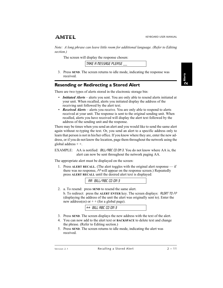**2 Alerts**

### <span id="page-26-0"></span>**AMTEL**

*Note: A long phrase can leave little room for additional language. (Refer to Editing section.)*

The screen will display the response chosen:

| . זא אוזהר ראווז א |
|--------------------|
|                    |

3. Press **SEND**. The screen returns to idle mode, indicating the response was received.

### **Resending or Redirecting a Stored Alert**

There are two types of alerts stored in the electronic storage bin:

- *Initiated Alerts* alerts you sent. You are only able to resend alerts initiated at your unit. When recalled, alerts you initiated display the address of the receiving unit followed by the alert text.
- *Received Alerts* alerts you receive. You are only able to respond to alerts received at your unit. The response is sent to the original sending unit. When recalled, alerts you have received will display the alert text followed by the address of the sending unit and the response.

There may be times when you send an alert and you would like to send the same alert again without re-typing the text. Or, you send an alert to a specific address only to learn that person is not in his/her office. If you know where they are, enter the new address, or if you do not know the location, page them throughout the network using the global address + +.

EXAMPLE: AA is notified: BILL/RBC CO ON 3. You do not know where AA is, the alert can now be sent throughout the network paging AA.

The appropriate alert must be displayed on the screen:

1. Press **ALERT RECALL**. (The alert toggles with the original alert response — if there was no response, ?? will appear on the response screen.) Repeatedly press **ALERT RECALL** until the desired alert text is displayed:



2. a. To resend: press **SEND** to resend the same alert. b. To redirect: press the ALERT ENTER key. The screen displays: *RLERT TO ??* (displaying the address of the unit the alert was originally sent to). Enter the new address(es) or  $++$  (for a global page).

| <b>МI</b> .<br>88C CO C |
|-------------------------|
|-------------------------|

- 3. Press **SEND**. The screen displays the new address with the text of the alert.
- 4. You can now add to the alert text or **BACKSPACE** to delete text and change the phrase. (Refer to Editing section.)
- 5. Press **SEND**. The screen returns to idle mode, indicating the alert was received.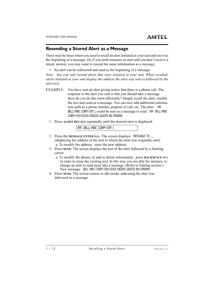#### <span id="page-27-0"></span>**Resending a Stored Alert as a Message**

There may be times when you need to recall an alert initiated at your unit and use it as the beginning of a message. Or, if you send someone an alert and you don't receive a timely answer, you may want to resend the same information as a message.

• An alert can be redirected and used as the beginning of a message.

*Note: You can only resend alerts that were initiated at your unit. When recalled, alerts initiated at your unit display the address the alert was sent to followed by the alert text.*

- EXAMPLE: You have sent an alert giving notice that there is a phone call. The response to the alert you sent is that you should take a message. How do you do this most efficiently? Simply recall the alert, modify the text and send as a message. You can now add additional information such as a phone number, purpose of call, etc. The alert: AA BILL/RBC CORP/ON 1, could be sent as a message to read: RR BILL/RBC CORP/123-5555/NEEDS QUOTE BY FRIDAY.
	- 1. Press **ALERT RECALL** repeatedly until the desired alert is displayed:

| AR BILL/ABC CORP/ON 1 |  |
|-----------------------|--|
|-----------------------|--|

- 2. Press the **MESSAGE ENTER** key. The screen displays: *fIESSRGE TO* (displaying the address of the unit to which the alert was originally sent). a. To modify the address: enter the new address.
- 3. Press **SEND**. The screen displays the text of the alert followed by a flashing cursor.
	- a. To modify the phrase, to add or delete information: press **BACKSPACE**  $(\leftarrow)$ in order to erase the existing text. In this way you are able for instance, to change an alert to read more like a message. (Refer to Editing section.) New message: BILL ABC CORP/123-5555 NEEDS QUOTE BY FRIDAY.
- 4. Press **SEND**. The screen returns to idle mode, indicating the alert was delivered as a message.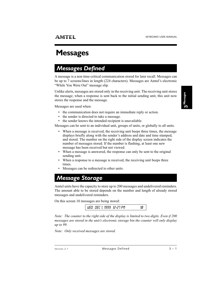# <span id="page-28-0"></span>**Messages**

## *Messages Defined*

A message is a non time-critical communication stored for later recall. Messages can be up to 7 screens/lines in length (224 characters). Messages are Amtel's electronic "While You Were Out" message slip.

Unlike alerts, messages are stored only in the receiving unit. The receiving unit stores the message; when a response is sent back to the initial sending unit, this unit now stores the response and the message.

Messages are used when:

- the communication does not require an immediate reply or action.
- the sender is directed to take a message.
- the sender knows the intended recipient is unavailable.

Messages can be sent to an individual unit, groups of units, or globally to all units.

- When a message is received, the receiving unit beeps three times, the message displays briefly along with the sender's address and date and time stamped, and stored. The number on the right side of the display screen indicates the number of messages stored. If the number is flashing, at least one new message has been received but not viewed.
- When a message is answered, the response can only be sent to the original sending unit.
- When a response to a message is received, the receiving unit beeps three times.
- Messages can be redirected to other units.

## *Message Storage*

Amtel units have the capacity to store up to 200 messages and undelivered reminders. The amount able to be stored depends on the number and length of already stored messages and undelivered reminders.

On this screen 10 messages are being stored:

|  | ,,,, |  |  | ות ר5-12 1999 ו DEC ו |  |
|--|------|--|--|-----------------------|--|
|--|------|--|--|-----------------------|--|

*Note: The counter to the right side of the display is limited to two digits. Even if 200 messages are stored in the unit's electronic storage bin the counter will only display up to 99.*

*Note: Only received messages are stored.*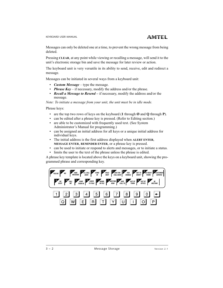### **AMTEL**

Messages can only be deleted one at a time, to prevent the wrong message from being deleted.

Pressing **CLEAR**, at any point while viewing or recalling a message, will send it to the unit's electronic storage bin and save the message for later review or action.

The keyboard unit is very versatile in its ability to send, receive, edit and redirect a message.

Messages can be initiated in several ways from a keyboard unit:

- *Custom Message* type the message.
- *Phrase Key* if necessary, modify the address and/or the phrase.
- *Recall a Message to Resend –* if necessary, modify the address and/or the message.

*Note: To initiate a message from your unit, the unit must be in idle mode.*

Phrase keys:

- are the top two rows of keys on the keyboard (**1** through **Ø** and **Q** through **P**).
- can be edited after a phrase key is pressed. (Refer to Editing section.)
- are able to be customized with frequently used text. (See System Administrator's Manual for programming.)
- can be assigned an initial address for all keys or a unique initial address for individual keys.
- The initial address is the first address displayed when **ALERT ENTER**, **MESSAGE ENTER**, **REMINDER ENTER**, or a phrase key is pressed.
- can be used to initiate or respond to alerts and messages, or to initiate a status.
- limits the user to the text of the phrase unless the phrase is edited.

A phrase key template is located above the keys on a keyboard unit, showing the programmed phrase and corresponding key.

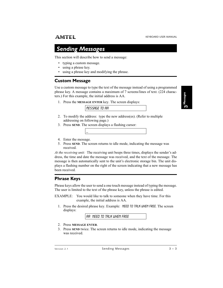### <span id="page-30-0"></span>**AMTEL**

*Sending Messages*

This section will describe how to send a message:

- typing a custom message.
- using a phrase key.
- using a phrase key and modifying the phrase.

#### **Custom Message**

Use a custom message to type the text of the message instead of using a programmed phrase key. A message contains a maximum of 7 screens/lines of text. (224 characters.) For this example, the initial address is AA.

1. Press the **MESSAGE ENTER** key. The screen displays:

**MESSAGE TO AA**



<u>ო</u> **Messages**

- 2. To modify the address: type the new address(es). (Refer to multiple addressing on following page.)
- 3. Press **SEND**. The screen displays a flashing cursor:

**\_**

- 4. Enter the message.
- 5. Press **SEND**. The screen returns to idle mode, indicating the message was received.

*At the receiving unit:* The receiving unit beeps three times, displays the sender's address, the time and date the message was received, and the text of the message. The message is then automatically sent to the unit's electronic storage bin. The unit displays a flashing number on the right of the screen indicating that a new message has been received.

### **Phrase Keys**

Phrase keys allow the user to send a one touch message instead of typing the message. The user is limited to the text of the phrase key, unless the phrase is edited.

- EXAMPLE: You would like to talk to someone when they have time. For this example, the initial address is AA.
	- 1. Press the desired phrase key. Example: NEED TO TALK WHEN FREE. The screen displays:

| RA NEED TO TALK WHEN FREE |  |
|---------------------------|--|
|---------------------------|--|

- 2. Press **MESSAGE ENTER**.
- 3. Press **SEND** twice. The screen returns to idle mode, indicating the message was received.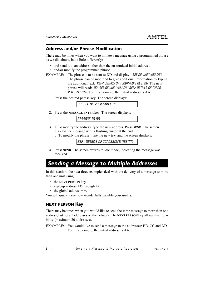### <span id="page-31-0"></span>**Address and/or Phrase Modification**

There may be times when you want to initiate a message using a programmed phrase as we did above, but a little differently:

- and send it to an address other than the customized initial address.
- and/or modify the programmed phrase.
- EXAMPLE: The phrase is to be sent to DD and display: *SEE ITE WHEN YOU CRN*. The phrase can be modified to give additional information by typing the additional text: REF/ DETRILS OF TOMORROW'S MEETING. The new phrase will read: DD SEE ME WHEN YOU CAN REF/ DETAILS OF TOMOR-ROW'S MEETING. For this example, the initial address is AA.
	- 1. Press the desired phrase key. The screen displays:

| <i>\RR` SEE ME WHEN YOU CRN</i> |  |
|---------------------------------|--|
|---------------------------------|--|

2. Press the **MESSAGE ENTER** key. The screen displays:

**MESSAGE TO** *AA*

3. a. To modify the address: type the new address. Press **SEND.** The screen displays the message with a flashing cursor at the end.

b. To modify the phrase: type the new text and the screen displays:

**REF/ DETAILS OF TOMORROW'S MEETING**

4. Press **SEND**. The screen returns to idle mode, indicating the message was received.

## *Sending a Message to Multiple Addresses*

In this section, the next three examples deal with the delivery of a message to more than one unit using:

- the **NEXT PERSON** key.
- a group address **+Ø** through **+9**.
- the global address  $++$ .

You will quickly see how wonderfully capable your unit is.

#### **NEXT PERSON Key**

There may be times when you would like to send the same message to more than one address, but not all addresses on the network. The **NEXT PERSON** key allows this flexibility (maximum 20 addresses).

EXAMPLE: You would like to send a message to the addresses: BB, CC and DD. For this example, the initial address is AA.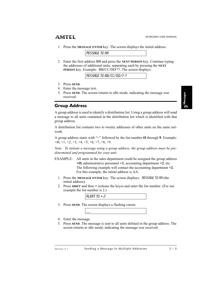<span id="page-32-0"></span>1. Press the **MESSAGE ENTER** key. The screen displays the initial address:

**MESSAGE TO AA**

2. Enter the first address BB and press the **NEXT PERSON** key. Continue typing the addresses of additional units, separating each by pressing the **NEXT PERSON** key. Example: BB/CC/DD/??. The screen displays:

**MESSAGE TO BB/CC/DD/? ?**

- 3. Press **SEND**.
- 4. Enter the message text.
- 5. Press **SEND**. The screen returns to idle mode, indicating the message was received.



### **Group Address**

A group address is used to identify a distribution list. Using a group address will send a message to all units contained in the distribution list which is identified with that group address.

A distribution list contains two to twenty addresses of other units on the same network.

A group address starts with "+" followed by the list number **Ø** through **9**. Example:  $+Q$ ,  $+1$ ,  $+2$ ,  $+3$ ,  $+4$ ,  $+5$ ,  $+6$ ,  $+7$ ,  $+8$ ,  $+9$ .

*Note: To initiate a message using a group address, the group address must be predetermined and programmed for your unit.*

- EXAMPLE: All units in the sales department could be assigned the group address **+Ø,** administrative personnel **+1**, accounting department **+2**, etc. The following example will contact the accounting department **+2**. For this example, the initial address is AA.
	- 1. Press the **MESSAGE ENTER** key. The screen displays: MESSAGE TO AA (the initial address).
	- 2. Press **SHIFT** and then **+** (release the keys) and enter the list number. (For our example the list number is 2.)



3. Press **SEND**. The screen displays a flashing cursor.



- 4. Enter the message.
- 5. Press **SEND**. The message is sent to all units defined in the group address. The screen returns to idle mode, indicating the message was received.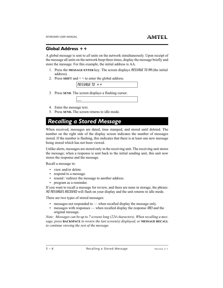### <span id="page-33-0"></span>**Global Address ++**

A global message is sent to *all* units on the network simultaneously. Upon receipt of the message all units on the network beep three times, display the message briefly and store the message. For this example, the initial address is AA.

- 1. Press the MESSAGE ENTER key. The screen displays *fIESSRGE TO RR* (the initial address).
- 2. Press **SHIFT** and  $+$  + to enter the global address.

| MESSAGE TO $+$ + |  |
|------------------|--|
|------------------|--|

- 3. Press **SEND**. The screen displays a flashing cursor.
- 4. Enter the message text.
- 5. Press **SEND.** The screen returns to idle mode.

**\_\_**

## *Recalling a Stored Message*

When received, messages are dated, time stamped, and stored until deleted. The number on the right side of the display screen indicates the number of messages stored. If the number is flashing, this indicates that there is at least one new message being stored which has not been viewed.

Unlike alerts, messages are stored only in the receiving unit. The receiving unit stores the message; when a response is sent back to the initial sending unit, this unit now stores the response and the message.

Recall a message to:

- view and/or delete.
- respond to a message.
- resend / redirect the message to another address.
- program as a reminder.

If you want to recall a message for review, and there are none in storage, the phrase: NO MESSAGES RECEIVED will flash on your display and the unit returns to idle mode.

There are two types of stored messages:

- messages not responded to when recalled display the message only.
- messages with responses when recalled display the response (RE) and the original message.

*Note: Messages can be up to 7 screens long (224 characters). When recalling a message, press* **BACKSPACE** *to review the last screen(s) displayed, or* **MESSAGE RECALL** *to continue viewing the rest of the message.*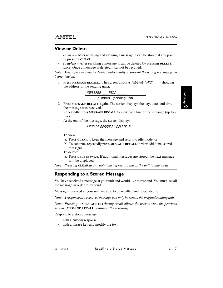**3 Messages**

#### <span id="page-34-0"></span>**View or Delete**

- *To view* After recalling and viewing a message it can be stored at any point by pressing **CLEAR**.
- *To delete* After recalling a message it can be deleted by pressing **DELETE** twice. Once a message is deleted it cannot be recalled.

*Note: Messages can only be deleted individually to prevent the wrong message from being deleted.*

1. Press **MESSAGE RECALL**. The screen displays MESSAGE 1 FROM \_\_\_ (showing the address of the sending unit):



- 2. Press **MESSAGE RECALL** again. The screen displays the day, date, and time the message was received.
- 3. Repeatedly press **MESSAGE RECALL** to view each line of the message (up to 7 lines).
- 4. At the end of the message, the screen displays:

| mcccocc:<br>*<br>'NΠ<br>ПF.<br>ı<br>- - -<br>– הרוור<br>i.<br>$\cdots$<br>,,,,, |
|---------------------------------------------------------------------------------|
|                                                                                 |

To view:

- a. Press **CLEAR** to keep the message and return to idle mode, or
- b. To continue, repeatedly press **MESSAGE RECALL** to view additional stored messages.
- To delete:
- a. Press **DELETE** twice. If additional messages are stored, the next message will be displayed.

*Note: Pressing* **CLEAR** *at any point during recall returns the unit to idle mode.*

#### **Responding to a Stored Message**

You have received a message at your unit and would like to respond. You must recall the message in order to respond.

Messages received at your unit are able to be recalled and responded to.

*Note: A response to a received message can only be sent to the original sending unit.*

*Note: Pressing* **BACKSPACE ()** *during recall allows the user to view the previous screen,* **MESSAGE RECALL** *continues the scrolling.*

Respond to a stored message:

- with a custom response.
- with a phrase key and modify the text.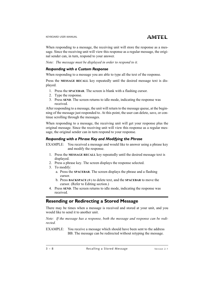<span id="page-35-0"></span>When responding to a message, the receiving unit will store the response as a message. Since the receiving unit will view this response as a regular message, the original sender can, in turn, respond to your answer.

*Note: The message must be displayed in order to respond to it.*

#### *Responding with a Custom Response*

When responding to a message you are able to type all the text of the response.

Press the **MESSAGE RECALL** key repeatedly until the desired message text is displayed.

- 1. Press the **SPACEBAR**. The screen is blank with a flashing cursor.
- 2. Type the response.
- 3. Press **SEND**. The screen returns to idle mode, indicating the response was received.

After responding to a message, the unit will return to the message queue, at the beginning of the message just responded to. At this point, the user can delete, save, or continue scrolling through the messages.

When responding to a message, the receiving unit will get your response plus the original message. Since the receiving unit will view this response as a regular message, the original sender can in turn respond to your response.

#### *Responding with a Phrase Key and Modifying the Phrase*

- EXAMPLE: You received a message and would like to answer using a phrase key and modify the response.
	- 1. Press the **MESSAGE RECALL** key repeatedly until the desired message text is displayed.
	- 2. Press a phrase key. The screen displays the response selected.
	- 3. To modify:
		- a. Press the **SPACEBAR**. The screen displays the phrase and a flashing cursor.
		- b. Press **BACKSPACE ()** to delete text, and the **SPACEBAR** to move the cursor. (Refer to Editing section.)
	- 4. Press **SEND**. The screen returns to idle mode, indicating the response was received.

#### **Resending or Redirecting a Stored Message**

There may be times when a message is received and stored at your unit, and you would like to send it to another unit.

*Note: If the message has a response, both the message and response can be redirected.*

EXAMPLE: You receive a message which should have been sent to the address BB. The message can be redirected without retyping the message.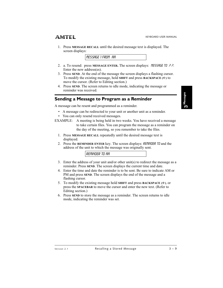<span id="page-36-0"></span>1. Press **MESSAGE RECALL** until the desired message text is displayed. The screen displays:



- 2. a. To resend: press MESSAGE ENTER. The screen displays: *fIESSRGE TO ? ?*. Enter the new address(es).
- 3. Press **SEND**. At the end of the message the screen displays a flashing cursor. To modify the existing message, hold **SHIFT** and press **BACKSPACE ()** to move the cursor. (Refer to Editing section.)
- 4. Press **SEND**. The screen returns to idle mode, indicating the message or reminder was received.

#### **Sending a Message to Program as a Reminder**

- A message can be resent and programmed as a reminder.
	- A message can be redirected to your unit or another unit as a reminder.
	- You can only resend received messages.
- EXAMPLE: A meeting is being held in two weeks. You have received a message to take certain files. You can program the message as a reminder on the day of the meeting, so you remember to take the files.
	- 1. Press **MESSAGE RECALL** repeatedly until the desired message text is displayed.
	- 2. Press the **REMINDER ENTER** key. The screen displays: REMINDER TO and the address of the unit to which the message was originally sent.



- 3. Enter the address of your unit and/or other unit(s) to redirect the message as a reminder. Press **SEND**. The screen displays the current time and date.
- 4. Enter the time and date the reminder is to be sent. Be sure to indicate AM or PM and press **SEND**. The screen displays the end of the message and a flashing cursor.
- 5. To modify the existing message hold **SHIFT** and press **BACKSPACE**  $(\leftarrow)$ , or press the **SPACEBAR** to move the cursor and enter the new text. (Refer to Editing section.)
- 6. Press **SEND** to store the message as a reminder. The screen returns to idle mode, indicating the reminder was set.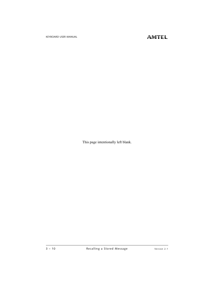This page intentionally left blank.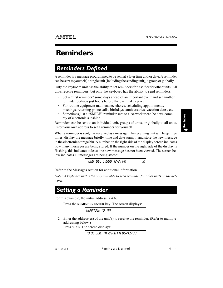# <span id="page-38-0"></span>**Reminders**

## *Reminders Defined*

A reminder is a message programmed to be sent at a later time and/or date. A reminder can be sent to yourself, a single unit (including the sending unit), a group or globally.

Only the keyboard unit has the ability to set reminders for itself or for other units. All units receive reminders, but only the keyboard has the ability to send reminders.

- Set a "first reminder" some days ahead of an important event and set another reminder perhaps just hours before the event takes place.
- For routine equipment maintenance chores, scheduling appointments, meetings, returning phone calls, birthdays, anniversaries, vacation dates, etc.
- Sometimes just a "SMILE" reminder sent to a co-worker can be a welcome ray of electronic sunshine.

Reminders can be sent to an individual unit, groups of units, or globally to all units. Enter your own address to set a reminder for yourself.

When a reminder is sent, it is received as a message. The receiving unit will beep three times, display the message briefly, time and date stamp it and store the new message in the electronic storage bin. A number on the right side of the display screen indicates how many messages are being stored. If the number on the right side of the display is flashing, this indicates at least one new message has not been viewed. The screen below indicates 10 messages are being stored:



Refer to the Messages section for additional information.

*Note: A keyboard unit is the only unit able to set a reminder for other units on the network.*

## *Setting a Reminder*

For this example, the initial address is AA.

1. Press the **REMINDER ENTER** key. The screen displays:

**REMINDER TO AA**

- 2. Enter the address(es) of the unit(s) to receive the reminder. (Refer to multiple addressing below.)
- 3. Press **SEND**. The screen displays:

TO BE SENT AT Ø4-16 PM Ø5/12/98

Version 2.1 **Reminders Defined** 4 – 1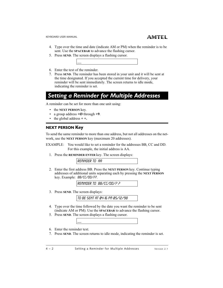- <span id="page-39-0"></span>4. Type over the time and date (indicate AM or PM) when the reminder is to be sent. Use the **SPACEBAR** to advance the flashing cursor.
- 5. Press **SEND**. The screen displays a flashing cursor.



- 6. Enter the text of the reminder.
- 7. Press **SEND**. The reminder has been stored in your unit and it will be sent at the time designated. If you accepted the current time for delivery, your reminder will be sent immediately. The screen returns to idle mode, indicating the reminder is set.

## *Setting a Reminder for Multiple Addresses*

A reminder can be set for more than one unit using:

- the **NEXT PERSON** key.
- a group address **+Ø** through **+9**.
- the global address  $+ +$ .

#### **NEXT PERSON Key**

To send the same reminder to more than one address, but not all addresses on the network, use the **NEXT PERSON** key (maximum 20 addresses).

- EXAMPLE: You would like to set a reminder for the addresses BB, CC and DD. For this example, the initial address is AA.
	- 1. Press the **REMINDER ENTER** key. The screen displays:

| REMINDER TO AR |  |
|----------------|--|
|----------------|--|

2. Enter the first address BB. Press the **NEXT PERSON** key. Continue typing addresses of additional units separating each by pressing the **NEXT PERSON** key. Example: BB/CC/DD/??.

**REMINDER TO BB/CC/DD/? ?**

3. Press **SEND**. The screen displays:

 $\overline{a}$ 

TO BE SENT AT Ø4-16 PM Ø5/12/98

- 4. Type over the time followed by the date you want the reminder to be sent (indicate AM or PM). Use the **SPACEBAR** to advance the flashing cursor.
- 5. Press **SEND**. The screen displays a flashing cursor.
- 6. Enter the reminder text.
- 7. Press **SEND**. The screen returns to idle mode, indicating the reminder is set.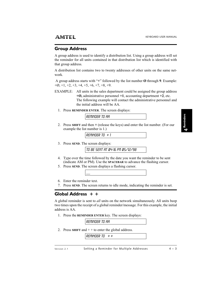#### <span id="page-40-0"></span>**Group Address**

A group address is used to identify a distribution list. Using a group address will set the reminder for all units contained in that distribution list which is identified with that group address.

A distribution list contains two to twenty addresses of other units on the same network.

A group address starts with "**+**" followed by the list number **Ø** through **9**. Example:  $+Q$ ,  $+1$ ,  $+2$ ,  $+3$ ,  $+4$ ,  $+5$ ,  $+6$ ,  $+7$ ,  $+8$ ,  $+9$ .

- EXAMPLE: All units in the sales department could be assigned the group address **+Ø,** administrative personnel **+1**, accounting department **+2**, etc. The following example will contact the administrative personnel and the initial address will be AA.
	- 1. Press **REMINDER ENTER**. The screen displays:

REMINDER TO AA

2. Press **SHIFT** and then **+** (release the keys) and enter the list number. (For our example the list number is 1.)

REMINDER TO  $+1$ 

3. Press **SEND**. The screen displays:

 $\overline{a}$ 

TO BE SENT AT Ø4-16 PM Ø5/12/98

- 4. Type over the time followed by the date you want the reminder to be sent (indicate AM or PM). Use the **SPACEBAR** to advance the flashing cursor.
- 5. Press **SEND**. The screen displays a flashing cursor.
- 6. Enter the reminder text.
- 7. Press **SEND**. The screen returns to idle mode, indicating the reminder is set.

#### **Global Address + +**

A global reminder is sent to *all* units on the network simultaneously. All units beep two times upon the receipt of a global reminder/message. For this example, the initial address is AA.

1. Press the **REMINDER ENTER** key. The screen displays:

REMINDER TO AA

2. Press **SHIFT** and  $++$  to enter the global address.

REMINDER TO + +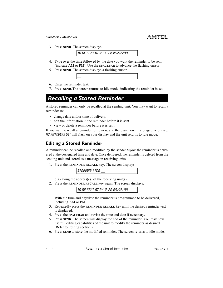<span id="page-41-0"></span>3. Press **SEND**. The screen displays:

 $\overline{a}$ 

TO BE SENT AT Ø4-16 PM Ø5/12/98

- 4. Type over the time followed by the date you want the reminder to be sent (indicate AM or PM). Use the **SPACEBAR** to advance the flashing cursor.
- 5. Press **SEND**. The screen displays a flashing cursor.
- 6. Enter the reminder text.
- 7. Press **SEND.** The screen returns to idle mode, indicating the reminder is set.

## *Recalling a Stored Reminder*

A stored reminder can only be recalled at the sending unit. You may want to recall a reminder to:

- change date and/or time of delivery.
- edit the information in the reminder before it is sent.
- view or delete a reminder before it is sent.

If you want to recall a reminder for review, and there are none in storage, the phrase: NO REMINDERS SET will flash on your display and the unit returns to idle mode.

### **Editing a Stored Reminder**

A reminder can be recalled and modified by the sender *before* the reminder is delivered at the designated time and date. Once delivered, the reminder is deleted from the sending unit and stored as a message in receiving units.

1. Press the **REMINDER RECALL** key. The screen displays:

displaying the address(es) of the receiving unit(s).

2. Press the **REMINDER RECALL** key again. The screen displays:

| TO BE SENT AT 04-16 PM 05/12/98 |  |
|---------------------------------|--|
|---------------------------------|--|

With the time and day/date the reminder is programmed to be delivered, including AM or PM.

- 3. Repeatedly press the **REMINDER RECALL** key until the desired reminder text is displayed.
- 4. Press the **SPACEBAR** and revise the time and date if necessary.
- 5. Press **SEND**. The screen will display the end of the reminder. You may now use full editing capabilities of the unit to modify the reminder as desired. (Refer to Editing section.)
- 6. Press **SEND** to store the modified reminder. The screen returns to idle mode.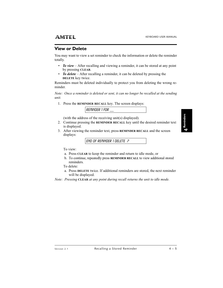### <span id="page-42-0"></span>**View or Delete**

You may want to view a set reminder to check the information or delete the reminder totally.

- *To view* After recalling and viewing a reminder, it can be stored at any point by pressing **CLEAR**.
- *To delete* After recalling a reminder, it can be deleted by pressing the **DELETE** key twice.

Reminders must be deleted individually to protect you from deleting the wrong reminder.

*Note: Once a reminder is deleted or sent, it can no longer be recalled at the sending unit.*

1. Press the **REMINDER RECALL** key. The screen displays:

| 'EMINDER 1 |
|------------|
|------------|

(with the address of the receiving unit(s) displayed).

- 2. Continue pressing the **REMINDER RECALL** key until the desired reminder text is displayed.
- 3. After viewing the reminder text, press **REMINDER RECALL** and the screen displays:

**4 Reminders**

END OF REMINDER 1 DELETE ?

To view:

- a. Press **CLEAR** to keep the reminder and return to idle mode, or
- b. To continue, repeatedly press **REMINDER RECALL** to view additional stored reminders.

a. Press **DELETE** twice. If additional reminders are stored, the next reminder will be displayed.

*Note: Pressing* **CLEAR** *at any point during recall returns the unit to idle mode.*

To delete: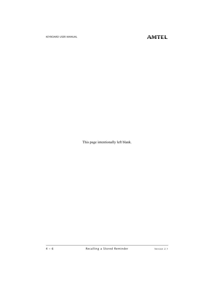This page intentionally left blank.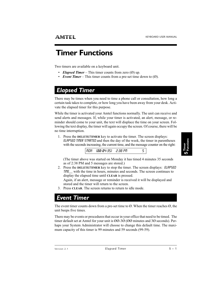# <span id="page-44-0"></span>**Timer Functions**

Two timers are available on a keyboard unit.

- *Elapsed Timer* This timer counts from zero (Ø) up.
- *Event Timer* This timer counts from a pre-set time down to (Ø).

## *Elapsed Timer*

There may be times when you need to time a phone call or consultation, how long a certain task takes to complete, or how long you have been away from your desk. Activate the elapsed timer for this purpose.

While the timer is activated your Amtel functions normally. The unit can receive and send alerts and messages. If, while your timer is activated, an alert, message, or reminder should come to your unit, the text will displace the time on your screen. Following the text display, the timer will again occupy the screen. Of course, there will be no time interruption.

1. Press the **DELETE/TIMER** key to activate the timer. The screen displays: ELAPSED TIMER STARTED and then the day of the week, the timer in parentheses with the seconds increasing, the current time, and the message counter on the right:



(The timer above was started on Monday it has timed 4 minutes 35 seconds as of 2:38 PM and 5 messages are stored.)

2. Press the **DELETE/TIMER** key to stop the timer. The screen displays: ELAPSED TIME\_\_ with the time in hours, minutes and seconds. The screen continues to display the elapsed time until **CLEAR** is pressed.

Again, if an alert, message or reminder is received it will be displayed and stored and the timer will return to the screen.

3. Press **CLEAR**. The screen returns to return to idle mode.

## *Event Timer*

The event timer counts down from a pre-set time to  $\emptyset$ . When the timer reaches  $\emptyset$ , the unit beeps five times.

There may be events or procedures that occur in your office that need to be timed. The timer default set at Amtel for your unit is ØØ-3Ø (ØØ minutes and 3Ø seconds). Perhaps your System Administrator will choose to change this default time. The maximum capacity of this timer is 99 minutes and 59 seconds (99-59).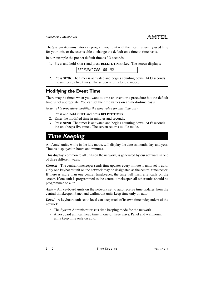### **AMTEL**

The System Administrator can program your unit with the most frequently used time for your unit, or the user is able to change the default on a time to time basis.

In our example the pre-set default time is 3Ø seconds.

1. Press and hold **SHIFT** and press **DELETE/TIMER** key. The screen displays:

2. Press **SEND**. The timer is activated and begins counting down. At Ø seconds the unit beeps five times. The screen returns to idle mode.

### **Modifying the Event Time**

There may be times when you want to time an event or a procedure but the default time is not appropriate. You can set the time values on a time-to-time basis.

*Note: This procedure modifies the time value for this time only.*

- 1. Press and hold **SHIFT** and press **DELETE/TIMER**.
- 2. Enter the modified time in minutes and seconds.
- 3. Press **SEND**. The timer is activated and begins counting down. At Ø seconds the unit beeps five times. The screen returns to idle mode.

## *Time Keeping*

All Amtel units, while in the idle mode, will display the date as month, day, and year. Time is displayed in hours and minutes.

This display, common to all units on the network, is generated by our software in one of three different ways:

*Central* – The central timekeeper sends time updates every minute to units set to auto. Only one keyboard unit on the network may be designated as the central timekeeper. If there is more than one central timekeeper, the time will flash erratically on the screen. If one unit is programmed as the central timekeeper, all other units should be programmed to auto.

*Auto* – All keyboard units on the network set to auto receive time updates from the central timekeeper. Panel and wallmount units keep time only on auto.

*Local* – A keyboard unit set to local can keep track of its own time independent of the network.

- The System Administrator sets time keeping mode for the network.
- A keyboard unit can keep time in one of three ways. Panel and wallmount units keep time only on auto.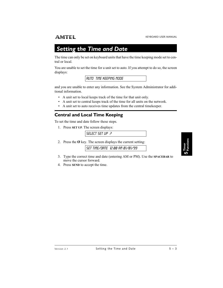## <span id="page-46-0"></span>*Setting the Time and Date*

The time can only be set on keyboard units that have the time keeping mode set to central or local.

You are unable to set the time for a unit set to auto. If you attempt to do so, the screen displays:

AUTO TIME KEEPING MODE

and you are unable to enter any information. See the System Administrator for additional information.

- A unit set to local keeps track of the time for that unit only.
- A unit set to central keeps track of the time for all units on the network.
- A unit set to auto receives time updates from the central timekeeper.

### **Central and Local Time Keeping**

To set the time and date follow these steps.

1. Press **SET UP**. The screen displays:

SELECT SET UP ?

2. Press the **Ø** key. The screen displays the current setting:

SET TIME/DATE 12:ØØ AM Ø1/Ø1/99



- 3. Type the correct time and date (entering AM or PM). Use the **SPACEBAR** to move the cursor forward.
- 4. Press **SEND** to accept the time.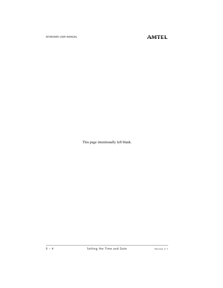This page intentionally left blank.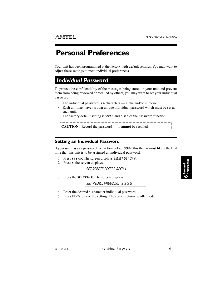# <span id="page-48-0"></span>**Personal Preferences**

Your unit has been programmed at the factory with default settings. You may want to adjust these settings to meet individual preferences.

## *Individual Password*

To protect the confidentiality of the messages being stored in your unit and prevent them from being reviewed or recalled by others, you may want to set your individual password.

- The individual password is 4 characters alpha and/or numeric.
- Each unit may have its own unique individual password which must be set at each unit.
- The factory default setting is 9999, and disables the password function.

```
--------------------------------------
CAUTION: Record the password — it cannot be recalled.
```
#### **Setting an Individual Password**

If your unit has as a password the factory default 9999, this then is most likely the first time that this unit is to be assigned an individual password.

- 1. Press **SET UP**. The screen displays SELECT SET UP ?.
- 2. Press **8**, the screen displays:

SET REMOTE ACCESS RECALL

3. Press the **SPACEBAR**. The screen displays:

SET RECALL PASSWORD 9 9 9 9

- 4. Enter the desired 4-character individual password.
- 5. Press **SEND** to save the setting. The screen returns to idle mode.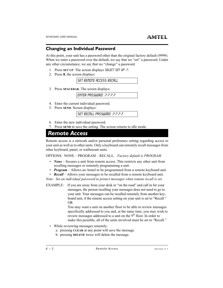#### <span id="page-49-0"></span>**Changing an Individual Password**

At this point, your unit has a password other than the original factory default (9999). When we enter a password over the default, we say that we "set" a password. Under any other circumstance, we say that we "change" a password.

- 1. Press **SET UP**. The screen displays SELECT SET UP ?.
- 2. Press **8**, the screen displays:

SET REMOTE ACCESS RECALL

3. Press **SPACEBAR**. The screen displays:

| <b>FIFIE E</b> |          |
|----------------|----------|
| cilitk rnor    | קקקק מאנ |
|                |          |

- 4. Enter the current individual password.
- 5. Press **SEND**. Screen displays:

SET recall PASSWORD ? ? ? ?

- 6. Enter the new individual password.
- 7. Press **SEND** to save the setting. The screen returns to idle mode.

## *Remote Access*

Remote access is a network and/or personal preference setting regarding access to your unit as well as to other units. Only a keyboard can remotely recall messages from other keyboard, panel, or wallmount units.

OPTIONS: NONE – PROGRAM – RECALL. *Factory default is PROGRAM*

- *None* Secures a unit from remote access. This restricts any other unit from recalling messages or remotely programming a unit.
- *Program* Allows an Amtel to be programmed from a remote keyboard unit.
- *Recall* Allows your messages to be recalled from a remote keyboard unit.

*Note: Set an individual password to protect messages when remote recall is set.*

EXAMPLE: If you are away from your desk or "on the road" and call in for your messages, the person recalling your messages does not need to go to your unit. Your messages can be recalled remotely from another keyboard unit, if the remote access setting on your unit is set to "Recall." OR

> You may want a unit on another floor to be able to review messages specifically addressed to you and, at the same time, you may wish to review messages addressed to a unit on the 9<sup>th</sup> floor. In order to make this possible, all of the units involved must be set to "Recall."

- While reviewing messages remotely:
	- a. pressing **CLEAR** at any point will save the message.
	- b. pressing **DELETE** twice will delete the message.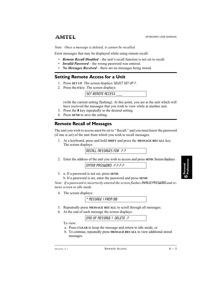<span id="page-50-0"></span>*Note: Once a message is deleted, it cannot be recalled.*

Error messages that may be displayed while using remote recall:

- *Remote Recall Disabled* the unit's recall function is not set to recall.
- *Invalid Password* the wrong password was entered.
- *No Messages Received* there are no messages being stored.

#### **Setting Remote Access for a Unit**

- 1. Press **SET UP**. The screen displays SELECT SET UP ?.
- 2. Press the **8** key. The screen displays:



(with the current setting flashing). At this point, you are at the unit which will have received the messages that you wish to view while at another unit.

- 3. Press the **8** key repeatedly to the desired setting.
- 4. Press **SEND** to save the setting.

#### **Remote Recall of Messages**

The unit you wish to access must be set to " Recall," and you must know the password (if one is set) of the unit from which you wish to recall messages.

1. At a keyboard, press and hold **SHIFT** and press the **MESSAGE RECALL** key. The screen displays:



2. Enter the address of the unit you wish to access and press **SEND**. Screen displays:

ENTER PASSWORD ????

- 3. a. If a password is not set, press **SEND**.
	- b. If a password is set, enter the password and press **SEND**.

*Note: If a password is incorrectly entered the screen flashes* INVALID PASSWORD *and returns screen to idle mode.*

4. The screen displays:

\* MESSAGE 1 FROM BB

- 5. Repeatedly press **MESSAGE RECALL** to scroll through all messages.
- 6. At the end of each message the screen displays:

END OF MESSAGE 1 DELETE ?

To view:

- a. Press **CLEAR** to keep the message and return to idle mode, or
- b. To continue, repeatedly press **MESSAGE RECALL** to view additional stored messages.

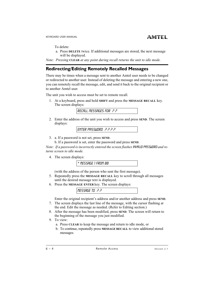#### <span id="page-51-0"></span>**AMTEL**

To delete:

a. Press **DELETE** twice. If additional messages are stored, the next message will be displayed.

*Note: Pressing* **CLEAR** *at any point during recall returns the unit to idle mode.*

### **Redirecting/Editing Remotely Recalled Messages**

There may be times when a message sent to another Amtel user needs to be changed or redirected to another user. Instead of deleting the message and entering a new one, you can remotely recall the message, edit, and send it back to the original recipient or to another Amtel user.

The unit you wish to access must be set to remote recall.

1. At a keyboard, press and hold **SHIFT** and press the **MESSAGE RECALL** key. The screen displays:

2. Enter the address of the unit you wish to access and press **SEND**. The screen displays:

| - ייחץ אזווי<br>JUKU E 1<br>L |  |
|-------------------------------|--|
|                               |  |

3. a. If a password is not set, press **SEND**.

b. If a password is set, enter the password and press **SEND**.

*Note: If a password is incorrectly entered the screen flashes* INVALID PASSWORD *and returns screen to idle mode.*

4. The screen displays:

(with the address of the person who sent the first message).

- 5. Repeatedly press the **MESSAGE RECALL** key to scroll through all messages until the desired message text is displayed.
- 6. Press the **MESSAGE ENTER** key. The screen displays:

| the control of the control of |  |
|-------------------------------|--|
|-------------------------------|--|

Enter the original recipient's address and/or another address and press **SEND**.

- 7. The screen displays the last line of the message, with the cursor flashing at the end. Edit the message as needed. (Refer to Editing section.)
- 8. After the message has been modified, press **SEND**. The screen will return to the beginning of the message you just modified.
- 9. To view:
	- a. Press **CLEAR** to keep the message and return to idle mode, or
	- b. To continue, repeatedly press **MESSAGE RECALL** to view additional stored messages.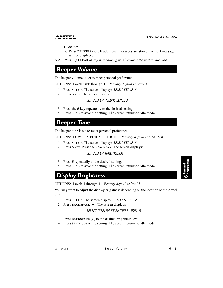- <span id="page-52-0"></span>To delete:
- a. Press **DELETE** twice. If additional messages are stored, the next message will be displayed.

*Note: Pressing* **CLEAR** *at any point during recall returns the unit to idle mode.*

## *Beeper Volume*

The beeper volume is set to meet personal preference.

OPTIONS: Levels OFF through 4. *Factory default is Level 3.*

- 1. Press **SET UP**. The screen displays SELECT SET UP ?.
- 2. Press **5** key. The screen displays:

SET BEEPER VOLUME LEVEL 3

- 3. Press the **5** key repeatedly to the desired setting.
- 4. Press **SEND** to save the setting. The screen returns to idle mode.

## *Beeper Tone*

The beeper tone is set to meet personal preference.

OPTIONS: LOW – MEDIUM – HIGH. *Factory default is MEDIUM*.

- 1. Press **SET UP**. The screen displays SELECT SET UP ?.
- 2. Press **5** key. Press the **SPACEBAR**. The screen displays:

#### SET BEEPER TONE MEDIUM

- 3. Press **5** repeatedly to the desired setting.
- 4. Press **SEND** to save the setting. The screen returns to idle mode.

## *Display Brightness*

OPTIONS: Levels 1 through 4. *Factory default is level 3*.

You may want to adjust the display brightness depending on the location of the Amtel unit.

- 1. Press **SET UP**. The screen displays SELECT SET UP ?.
- 2. Press **BACKSPACE**  $(\Leftarrow)$ . The screen displays:

SELECT DISPLAY BRIGHTNESS LEVEL 3

- 3. Press **BACKSPACE**  $(\leftarrow)$  to the desired brightness level.
- 4. Press **SEND** to save the setting. The screen returns to idle mode.

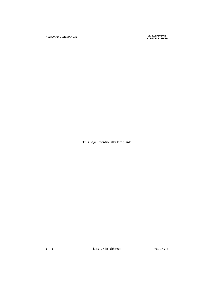This page intentionally left blank.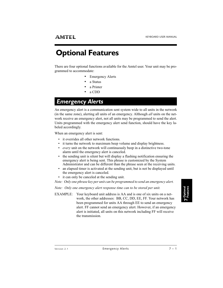# <span id="page-54-0"></span>**Optional Features**

There are four optional functions available for the Amtel user. Your unit may be programmed to accommodate:

- **Emergency Alerts**
- a Status
- a Printer
- a CDD

## *Emergency Alerts*

An emergency alert is a communication sent system wide to all units in the network (in the same zone), alerting all units of an emergency. Although *all* units on the network receive an emergency alert, not all units may be programmed to send the alert. Units programmed with the emergency alert send function, should have the key labeled accordingly.

When an emergency alert is sent:

- it overrides all other network functions.
- it turns the network to maximum beep volume and display brightness.
- *every* unit on the network will continuously beep in a distinctive two-tone alarm until the emergency alert is canceled.
- the sending unit is silent but will display a flashing notification ensuring the emergency alert is being sent. This phrase is customized by the System Administrator and can be different than the phrase seen at the receiving units.
- an elapsed timer is activated at the sending unit, but is not be displayed until the emergency alert is canceled.
- it can only be canceled at the sending unit.

*Note: Only one phrase key per unit can be programmed to send an emergency alert.*

*Note: Only one emergency alert response time can to be stored per unit.*

EXAMPLE: Your keyboard unit address is AA and is one of six units on a network, the other addresses: BB, CC, DD, EE, FF. Your network has been programmed for units AA through EE to send an emergency alert. FF cannot send an emergency alert. However, if an emergency alert is initiated, all units on this network including FF will receive the transmission.

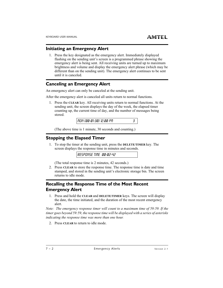### <span id="page-55-0"></span>**Initiating an Emergency Alert**

1. Press the key designated as the emergency alert. Immediately displayed flashing on the sending unit's screen is a programmed phrase showing the emergency alert is being sent. All receiving units are turned up to maximum brightness and volume and display the emergency alert phrase (which may be different than on the sending unit). The emergency alert continues to be sent until it is canceled.

### **Canceling an Emergency Alert**

An emergency alert can only be canceled at the sending unit.

After the emergency alert is canceled all units return to normal functions.

1. Press the **CLEAR** key. All receiving units return to normal functions. At the sending unit, the screen displays the day of the week, the elapsed timer counting up, the current time of day, and the number of messages being stored.

| NON (00-01-30) 12:00 PM |  |
|-------------------------|--|
|-------------------------|--|

(The above time is 1 minute, 30 seconds and counting.)

### **Stopping the Elapsed Timer**

1. To stop the timer at the sending unit, press the **DELETE/TIMER** key. The screen displays the response time in minutes and seconds.

(The total response time is 2 minutes, 42 seconds.)

2. Press **CLEAR** to store the response time. The response time is date and time stamped, and stored in the sending unit's electronic storage bin. The screen returns to idle mode.

### **Recalling the Response Time of the Most Recent Emergency Alert**

1. Press and hold the **CLEAR** and **DELETE/TIMER** keys. The screen will display the date, the time initiated, and the duration of the most recent emergency alert.

*Note: The emergency response timer will count to a maximum time of 59:59. If the timer goes beyond 59:59, the response time will be displayed with a series of asterisks indicating the response time was more than one hour.*

2. Press **CLEAR** to return to idle mode.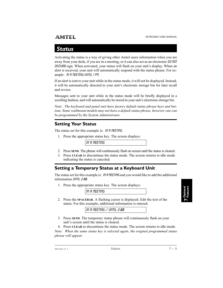## <span id="page-56-0"></span>*Status*

Activating the status is a way of giving other Amtel users information when you are away from your desk, if you are in a meeting, or it can also act as an electronic DO NOT DISTURB sign. When activated, your status will flash on your unit's display. When an alert is received, your unit will automatically respond with the status phrase. For example: IN A MEETING/UNTIL 1 PM.

If an alert is sent to your unit while in the status mode, it will not be displayed. Instead, it will be automatically directed to your unit's electronic storage bin for later recall and review.

Messages sent to your unit while in the status mode will be briefly displayed in a scrolling fashion, and will automatically be stored in your unit's electronic storage bin.

*Note: The keyboard and panel unit have factory default status phrase keys and buttons. Some wallmount models may not have a default status phrase, however, one can be programmed by the System Administrator.*

#### **Setting Your Status**

The status set for this example is: IN A MEETING.

1. Press the appropriate status key. The screen displays:



- 2. Press **SEND**. The phrase will continuously flash on screen until the status is cleared.
- 3. Press **CLEAR** to discontinue the status mode. The screen returns to idle mode indicating the status is canceled.

#### **Setting a Temporary Status at a Keyboard Unit**

The status set for this example is: IN A MEETING and you would like to add the additional information UNTIL 2:ØØ.

1. Press the appropriate status key. The screen displays:





2. Press the **SPACEBAR**. A flashing cursor is displayed. Edit the text of the status. For this example, additional information is entered.

IN A MEETING / UNTIL 2:ØØ

3. Press **SEND**. The temporary status phrase will continuously flash on your unit's screen until the status is cleared.

4. Press **CLEAR** to discontinue the status mode. The screen returns to idle mode. *Note: When the same status key is selected again, the original programmed status phrase will appear.*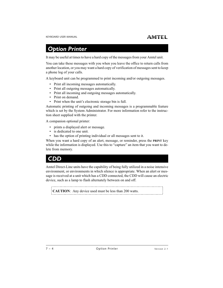## <span id="page-57-0"></span>*Option Printer*

It may be useful at times to have a hard copy of the messages from your Amtel unit.

You can take these messages with you when you leave the office to return calls from another location, or you may want a hard copy of verification of messages sent to keep a phone log of your calls.

A keyboard unit can be programmed to print incoming and/or outgoing messages.

- Print all incoming messages automatically.
- Print all outgoing messages automatically.
- Print all incoming and outgoing messages automatically.
- Print on demand.
- Print when the unit's electronic storage bin is full.

Automatic printing of outgoing and incoming messages is a programmable feature which is set by the System Administrator. For more information refer to the instruction sheet supplied with the printer.

A companion optional printer:

- prints a displayed alert or message.
- is dedicated to one unit.
- has the option of printing individual or all messages sent to it.

When you want a hard copy of an alert, message, or reminder, press the **PRINT** key while the information is displayed. Use this to "capture" an item that you want to delete from memory.

## *CDD*

Amtel Direct-Line units have the capability of being fully utilized in a noise intensive environment, or environments in which silence is appropriate. When an alert or message is received at a unit which has a CDD connected, the CDD will cause an electric device, such as a lamp to flash alternately between on and off.

**CAUTION:** Any device used must be less than 200 watts.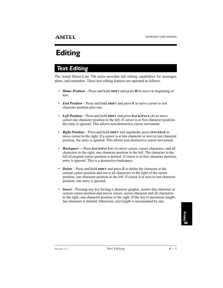# <span id="page-58-0"></span>**Editing**

## *Text Editing*

The Amtel Direct-Line 700 series provides full editing capabilities for messages, alerts, and reminders. These text editing features are operated as follows.

- *Home Position* Press and hold **SHIFT** and press **H** to move to beginning of text.
- *End Position* Press and hold **SHIFT** and press **E** to move cursor to last character position plus one.
- Left Position Press and hold SHIFT and press BACKSPACE  $(\Leftarrow)$  to move cursor one character position to the left. If cursor is at first character position, the entry is ignored. This allows non-destructive cursor movement.
- *Right Position* Press and hold **SHIFT** and repeatedly press **SPACEBAR** to move cursor to the right. If a cursor is at last character or next to last character position, the entry is ignored. This allows non-destructive cursor movement.
- *Backspace* Press BACKSPACE( $\leftarrow$ ) to move cursor, cursor characters, and all characters to the right, one character position to the left. The character to the left of original cursor position is deleted. If cursor is at first character position, entry is ignored. This is a destructive backspace.
- *Delete* Press and hold **SHIFT** and press **Z** to delete the character at the current cursor position and move all characters to the right of the cursor position, one character position to the left. If cursor is at next to last character position, one entry is ignored.
- *Insert* Pressing any key having a character graphic, inserts that character at current cursor position and moves cursor, cursor character and all characters to the right, one character position to the right. If the text is maximum length, last character is deleted. Otherwise, text length is incremented by one.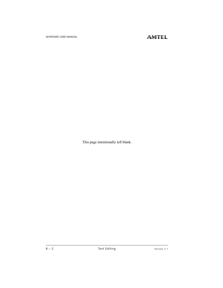This page intentionally left blank.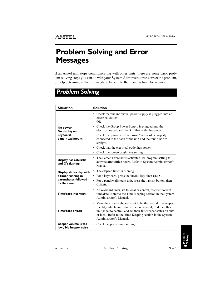# <span id="page-60-0"></span>**Problem Solving and Error Messages**

If an Amtel unit stops communicating with other units, there are some basic problem-solving steps you can do with your System Administrator to correct the problem, or help determine if the unit needs to be sent to the manufacturer for repairs.

## *Problem Solving*

| <b>Situation</b>                                             | <b>Solution</b>                                                                                                                                                                                                                                                                                                                                                                            |
|--------------------------------------------------------------|--------------------------------------------------------------------------------------------------------------------------------------------------------------------------------------------------------------------------------------------------------------------------------------------------------------------------------------------------------------------------------------------|
| No power<br>No display on<br>keyboard /<br>panel / wallmount | • Check that the individual power supply is plugged into an<br>electrical outlet.<br>0R<br>• Check the Group Power Supply is plugged into the<br>electrical outlet, and check if that outlet has power.<br>• Check that power cord or power/data cord is properly<br>connected to the back of the unit and the four pins are<br>straight.<br>• Check that the electrical outlet has power. |
|                                                              | • Check the screen brightness setting.                                                                                                                                                                                                                                                                                                                                                     |
| <b>Display has asterisks</b><br>and Ø's flashing             | The Screen Exerciser is activated. Re-program setting to<br>activate after office hours. Refer to System Administrator's<br>Manual.                                                                                                                                                                                                                                                        |
| Display shows day with                                       | • The elapsed timer is running.                                                                                                                                                                                                                                                                                                                                                            |
| a timer running in                                           | • For a keyboard, press the TIMER key, then CLEAR.                                                                                                                                                                                                                                                                                                                                         |
| parentheses followed<br>by the time                          | For a panel/wallmount unit, press the <b>TIMER</b> button, then<br>$\bullet$<br>CLEAR.                                                                                                                                                                                                                                                                                                     |
| <b>Time/date incorrect</b>                                   | At keyboard units, set to local or central, re-enter correct<br>time/date. Refer to the Time Keeping section in the System<br>Administrator's Manual.                                                                                                                                                                                                                                      |
| Time/date erratic                                            | More than one keyboard is set to be the central time keeper.<br>Identify which unit is to be the one central, find the other<br>unit(s) set to central, and set their time keeper status on auto<br>or local. Refer to the Time Keeping section in the System<br>Administrator's Manual.                                                                                                   |
| Beeper volume is too<br>low / No beeper noise                | • Check beeper volume setting.                                                                                                                                                                                                                                                                                                                                                             |

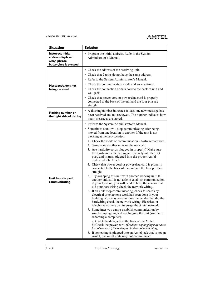| <b>Situation</b>                                                                      | <b>Solution</b>                                                                                                                                                                                                                                                                                                                                                                                                                                                                                                                                                                                                                                                                                                                                                                                                                                                                                                                                                                                                                                                                                                                                                                                                                                                                                                                                                                                                                                                                                                                                                                                              |
|---------------------------------------------------------------------------------------|--------------------------------------------------------------------------------------------------------------------------------------------------------------------------------------------------------------------------------------------------------------------------------------------------------------------------------------------------------------------------------------------------------------------------------------------------------------------------------------------------------------------------------------------------------------------------------------------------------------------------------------------------------------------------------------------------------------------------------------------------------------------------------------------------------------------------------------------------------------------------------------------------------------------------------------------------------------------------------------------------------------------------------------------------------------------------------------------------------------------------------------------------------------------------------------------------------------------------------------------------------------------------------------------------------------------------------------------------------------------------------------------------------------------------------------------------------------------------------------------------------------------------------------------------------------------------------------------------------------|
| <b>Incorrect initial</b><br>address displayed<br>when phrase<br>button/key is pressed | • Program the initial address. Refer to the System<br>Administrator's Manual.                                                                                                                                                                                                                                                                                                                                                                                                                                                                                                                                                                                                                                                                                                                                                                                                                                                                                                                                                                                                                                                                                                                                                                                                                                                                                                                                                                                                                                                                                                                                |
| Messages/alerts not<br>being received                                                 | • Check the address of the receiving unit.<br>• Check that 2 units do not have the same address.<br>Refer to the System Administrator's Manual.<br>Check the communication mode and zone settings.<br>• Check the connection of data cord to the back of unit and<br>wall jack.<br>• Check that power cord or power/data cord is properly<br>connected to the back of the unit and the four pins are<br>straight.                                                                                                                                                                                                                                                                                                                                                                                                                                                                                                                                                                                                                                                                                                                                                                                                                                                                                                                                                                                                                                                                                                                                                                                            |
| <b>Flashing number on</b><br>the right side of display                                | A flashing number indicates at least one new message has<br>been received and not reviewed. The number indicates how<br>many messages are stored.                                                                                                                                                                                                                                                                                                                                                                                                                                                                                                                                                                                                                                                                                                                                                                                                                                                                                                                                                                                                                                                                                                                                                                                                                                                                                                                                                                                                                                                            |
| Unit has stopped<br>communicating                                                     | • Refer to the System Administrator's Manual.<br>• Sometimes a unit will stop communicating after being<br>moved from one location to another. If the unit is not<br>working at the new location:<br>1. Check the mode of communication - fastwire/hardwire.<br>2. Same zone as other units on the network.<br>3. Are hardwire cords plugged in properly? Make sure<br>the hardwire cable is plugged securely into the I/O<br>port, and in turn, plugged into the proper Amtel<br>dedicated RJ-11 jack.<br>4. Check that power cord or power/data cord is properly<br>connected to the back of the unit and the four pins are<br>straight.<br>5. Try swapping this unit with another working unit. If<br>another unit still is not able to establish communication<br>at your location, you will need to have the vendor that<br>did your hardwiring check the network wiring.<br>6. If all units stop communicating, check to see if any<br>electrical or telephone work has been done in your<br>building. You may need to have the vendor that did the<br>hardwiring check the network wiring. Electrical or<br>telephone workers can interrupt the Amtel network.<br>7. Sometimes you can re-establish communication by<br>simply unplugging and re-plugging the unit (similar to<br>rebooting a computer).<br>a) Check the data jack in the back of the Amtel.<br>b) Check the power cord. (Caution: unplugging may cause<br>loss of memory if the battery is dead or not functioning.)<br>8. If something is plugged into an Amtel jack that is not an<br>Amtel, one or all units may not communicate. |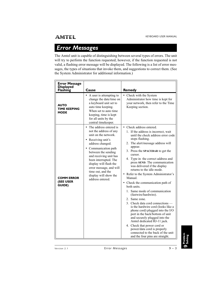## <span id="page-62-0"></span>*Error Messages*

The Amtel unit is capable of distinguishing between several types of errors. The unit will try to perform the function requested; however, if the function requested is not valid, a flashing error message will be displayed. The following is a list of error messages, the types of situations that invoke them, and suggestions to correct them. (See the System Administrator for additional information.)

| <b>Error Message</b><br><b>Displayed</b><br>Flashing   | Cause                                                                                                                                                                                                                                                                                                                                         | Remedy                                                                                                                                                                                                                                                                                                                                                                                                                                                                                                                                                                                                                                                                                                                                                                                                                                                                                                |
|--------------------------------------------------------|-----------------------------------------------------------------------------------------------------------------------------------------------------------------------------------------------------------------------------------------------------------------------------------------------------------------------------------------------|-------------------------------------------------------------------------------------------------------------------------------------------------------------------------------------------------------------------------------------------------------------------------------------------------------------------------------------------------------------------------------------------------------------------------------------------------------------------------------------------------------------------------------------------------------------------------------------------------------------------------------------------------------------------------------------------------------------------------------------------------------------------------------------------------------------------------------------------------------------------------------------------------------|
| <b>AUTO</b><br><b>TIME KEEPING</b><br><b>MODE</b>      | A user is attempting to<br>change the date/time on<br>a keyboard unit set to<br>auto time keeping.<br>When set to auto time<br>keeping, time is kept<br>for all units by the<br>central timekeeper.                                                                                                                                           | • Check with the System<br>Administrator how time is kept for<br>your network, then refer to the Time<br>Keeping section.                                                                                                                                                                                                                                                                                                                                                                                                                                                                                                                                                                                                                                                                                                                                                                             |
| <b>COMM ERROR</b><br><b>(SEE USER</b><br><b>GUIDE)</b> | • The address entered is<br>not the address of any<br>unit on the network.<br>• Receiving unit's<br>address changed.<br>• Communication path<br>between the sending<br>and receiving unit has<br>been interrupted. The<br>display will flash the<br>error message, and will<br>time out, and the<br>display will show the<br>address entered. | • Check address entered.<br>1. If the address is incorrect, wait<br>until the check address error code<br>stops flashing.<br>2. The alert/message address will<br>appear.<br>3. Press the SPACEBAR to get the<br>cursor.<br>4. Type in the correct address and<br>press SEND. The communication<br>was delivered if the display<br>returns to the idle mode.<br>• Refer to the System Administrator's<br>Manual.<br>• Check the communication path of<br>both units.<br>1. Same mode of communication<br>(fastwire/hardwire).<br>2. Same zone.<br>3. Check data cord connections —<br>is the hardwire cord (looks like a<br>phone cord) plugged into the I/O<br>port in the back/bottom of unit<br>and securely plugged into the<br>Amtel dedicated RJ-11 jack.<br>4. Check that power cord or<br>power/data cord is properly<br>connected to the back of the unit<br>and the four pins are straight. |

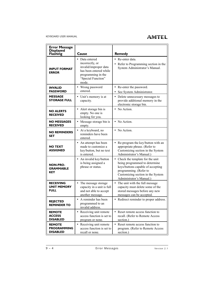| <b>Error Message</b><br><b>Displayed</b><br>Flashing   | Cause                                                                                                                                     | <b>Remedy</b>                                                                                                                                                                                      |
|--------------------------------------------------------|-------------------------------------------------------------------------------------------------------------------------------------------|----------------------------------------------------------------------------------------------------------------------------------------------------------------------------------------------------|
| <b>INPUT FORMAT</b><br><b>ERROR</b>                    | • Data entered<br>incorrectly, or<br>invalid/improper data<br>has been entered while<br>programming in the<br>"Special Function"<br>mode. | • Re-enter data.<br>• Refer to Programming section in the<br>System Administrator's Manual.                                                                                                        |
| <b>INVALID</b><br><b>PASSWORD</b>                      | • Wrong password<br>entered.                                                                                                              | • Re-enter the password.<br>• See System Administrator.                                                                                                                                            |
| <b>MESSAGE</b><br><b>STORAGE FULL</b>                  | • Unit's memory is at<br>capacity.                                                                                                        | • Delete unnecessary messages to<br>provide additional memory in the<br>electronic storage bin.                                                                                                    |
| <b>NO ALERTS</b><br><b>RECEIVED</b>                    | $\bullet$<br>Alert storage bin is<br>empty. No one is<br>looking for you.                                                                 | • No Action.                                                                                                                                                                                       |
| <b>NO MESSAGES</b><br><b>RECEIVED</b>                  | • Message storage bin is<br>empty.                                                                                                        | No Action.<br>$\bullet$                                                                                                                                                                            |
| <b>NO REMINDERS</b><br><b>SET</b>                      | • At a keyboard, no<br>reminders have been<br>entered.                                                                                    | • No Action.                                                                                                                                                                                       |
| <b>NO TEXT</b><br><b>ASSIGNED</b>                      | • An attempt has been<br>made to customize a<br>key/button, but no text<br>is entered.                                                    | • Re-program the key/button with an<br>appropriate phrase. (Refer to<br>Customizing section in the System<br>Administrator's Manual.)                                                              |
| <b>NON-PRO-</b><br><b>GRAMMABLE</b><br><b>KEY</b>      | • An invalid key/button<br>is being assigned a<br>phrase or status.                                                                       | • Check the template for the unit<br>being programmed to determine<br>keys/buttons capable of accepting<br>programming. (Refer to<br>Customizing section in the System<br>Administrator's Manual.) |
| <b>RECEIVING</b><br><b>UNIT MEMORY</b><br><b>FULL</b>  | The message storage<br>$\bullet$<br>capacity in a unit is full<br>and not able to accept<br>another message.                              | • The unit with the full message<br>capacity must delete some of the<br>stored messages before any new<br>messages can be accepted.                                                                |
| <b>REJECTED</b><br><b>REMINDER TO</b>                  | • A reminder has been<br>programmed to an<br>invalid address.                                                                             | • Redirect reminder to proper address.                                                                                                                                                             |
| <b>REMOTE</b><br><b>ACCESS</b><br><b>DISABLED</b>      | • Receiving unit remote<br>access function is set to<br>program or none.                                                                  | • Reset remote access function to<br>recall. (Refer to Remote Access<br>section.)                                                                                                                  |
| <b>REMOTE</b><br><b>PROGRAMMING</b><br><b>DISABLED</b> | • Receiving unit remote<br>access function is set to<br>recall or none.                                                                   | • Reset remote access function to<br>program. (Refer to Remote Access<br>section.)                                                                                                                 |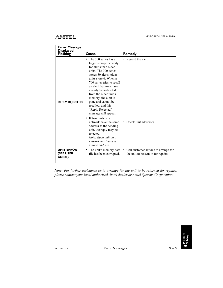| <b>Error Message</b><br><b>Displayed</b><br>Flashing   | Cause                                                                                                                                                                                                                                                                                                                                                                                                                                                                                                                                                                               | <b>Remedy</b>                                                                           |
|--------------------------------------------------------|-------------------------------------------------------------------------------------------------------------------------------------------------------------------------------------------------------------------------------------------------------------------------------------------------------------------------------------------------------------------------------------------------------------------------------------------------------------------------------------------------------------------------------------------------------------------------------------|-----------------------------------------------------------------------------------------|
| <b>REPLY REJECTED</b>                                  | The 700 series has a<br>larger storage capacity<br>for alerts than older<br>units. The 700 series<br>stores 50 alerts, older<br>units store 6. When a<br>700 series tries to recall<br>an alert that may have<br>already been deleted<br>from the older unit's<br>memory, the alert is<br>gone and cannot be<br>recalled, and this<br>"Reply Rejected"<br>message will appear.<br>If two units on a<br>$\bullet$<br>network have the same<br>address as the sending<br>unit, the reply may be<br>rejected.<br>Note: Each unit on a<br>network must have a<br><i>unique address.</i> | • Resend the alert.<br>Check unit addresses.                                            |
| <b>UNIT ERROR</b><br><b>(SEE USER</b><br><b>GUIDE)</b> | • The unit's memory data<br>file has been corrupted.                                                                                                                                                                                                                                                                                                                                                                                                                                                                                                                                | Call customer service to arrange for<br>$\bullet$<br>the unit to be sent in for repairs |

*Note: For further assistance or to arrange for the unit to be returned for repairs, please contact your local authorized Amtel dealer or Amtel Systems Corporation.*

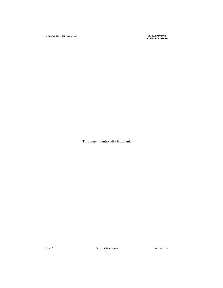This page intentionally left blank.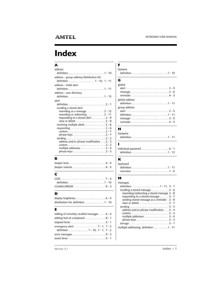# **Index**

### A

| address                                                                |
|------------------------------------------------------------------------|
| address - group address/distribution list<br>definition 1 - 10, 1 - 11 |
| address - initial alert                                                |
|                                                                        |
| address - user directory                                               |
|                                                                        |
| alert                                                                  |
|                                                                        |
| recalling a stored alert                                               |
| resending as a message $\dots \dots \dots 2$ - 12                      |
| resending or redirecting 2 - 11                                        |
| responding to a stored alert 2 - 9                                     |
| receiving multiple alerts. 2 - 6                                       |
|                                                                        |
|                                                                        |
|                                                                        |
|                                                                        |
| address and/or phrase modification 2 - 3                               |
|                                                                        |
| multiple addresses 2 - 4                                               |
|                                                                        |

#### B

| beeper tone $\ldots \ldots \ldots \ldots \ldots \ldots \ldots 6 - 5$ |  |  |  |  |  |  |  |  |  |  |  |  |
|----------------------------------------------------------------------|--|--|--|--|--|--|--|--|--|--|--|--|
|                                                                      |  |  |  |  |  |  |  |  |  |  |  |  |

### C

### D

| distribution list, definition 1 - 10 |  |
|--------------------------------------|--|

#### E

| editing of remotely recalled messages 6 - 4                    |  |
|----------------------------------------------------------------|--|
| editing text at a keyboard 8-1                                 |  |
|                                                                |  |
| emergency alert7 - 1, 7 - 2<br>definition 1 - 10, 7 - 1, 7 - 2 |  |
|                                                                |  |
|                                                                |  |
|                                                                |  |

| fastwire       |  |  |  |  |  |  |  |  |  |  |
|----------------|--|--|--|--|--|--|--|--|--|--|
| G              |  |  |  |  |  |  |  |  |  |  |
| global         |  |  |  |  |  |  |  |  |  |  |
|                |  |  |  |  |  |  |  |  |  |  |
|                |  |  |  |  |  |  |  |  |  |  |
| reminder4 - 3  |  |  |  |  |  |  |  |  |  |  |
| global address |  |  |  |  |  |  |  |  |  |  |
|                |  |  |  |  |  |  |  |  |  |  |
| group address  |  |  |  |  |  |  |  |  |  |  |
|                |  |  |  |  |  |  |  |  |  |  |
|                |  |  |  |  |  |  |  |  |  |  |
|                |  |  |  |  |  |  |  |  |  |  |
| reminder 4 - 3 |  |  |  |  |  |  |  |  |  |  |

#### H

F

| hardwire                  |  |
|---------------------------|--|
| П                         |  |
| individual password 6 - 1 |  |

#### K

| keyboard |  |  |  |  |  |  |  |  |  |  |  |  |  |
|----------|--|--|--|--|--|--|--|--|--|--|--|--|--|
|          |  |  |  |  |  |  |  |  |  |  |  |  |  |
|          |  |  |  |  |  |  |  |  |  |  |  |  |  |

### M

| messages                                                      |
|---------------------------------------------------------------|
| definition  1 - 11, 3 - 1                                     |
| recalling a stored message3 - 6                               |
| resending/redirecting a stored message 3 - 8                  |
| responding to a stored message 3 - 7                          |
| sending stored message as a reminder . 3 - 9                  |
| view or delete 3 - 7                                          |
|                                                               |
| address and/or phrase modification 3 - 4                      |
|                                                               |
| multiple addresses $\ldots \ldots \ldots \ldots \ldots 3 - 4$ |
|                                                               |
|                                                               |
| multiple addressing, definition 1 - 11                        |
|                                                               |

Version 2.1 Index – 1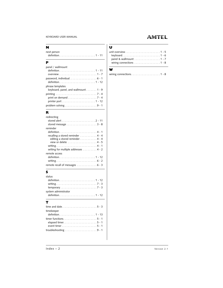## **AMTEL**

## N

next person [definition. . . . . . . . . . . . . . . . . . . . . . . . 1 - 11](#page-12-0)

#### P

| panel / wallmount                                  |
|----------------------------------------------------|
|                                                    |
| password, individual. 6 - 1                        |
|                                                    |
| phrase templates                                   |
| keyboard, panel, and wallmount $\dots \dots 1 - 9$ |
|                                                    |
|                                                    |
|                                                    |
|                                                    |

## $\overline{u}$

| unit overview1 - 5                                             |  |  |  |  |  |  |  |
|----------------------------------------------------------------|--|--|--|--|--|--|--|
|                                                                |  |  |  |  |  |  |  |
| panel & wallmount 1 - 7                                        |  |  |  |  |  |  |  |
| wiring connections $\dots \dots \dots \dots \dots \dots 1 - 8$ |  |  |  |  |  |  |  |

#### W

#### R

| redirecting<br>stored message $\dots\dots\dots\dots\dots\dots\dots$ 3 - 8                                                                                                          |
|------------------------------------------------------------------------------------------------------------------------------------------------------------------------------------|
| reminder<br>recalling a stored reminder $\dots\dots\dots$ 4 - 4<br>editing a stored reminder 4 - 4<br>view or delete 4-5<br>setting for multiple addresses  4 - 2<br>remote access |
| remote recall of messages $\dots\dots\dots\dots\dots$ 6 - 3                                                                                                                        |
| S<br>status<br>system administrator                                                                                                                                                |
| т<br>timekeeper                                                                                                                                                                    |
| event timer5 - 1                                                                                                                                                                   |